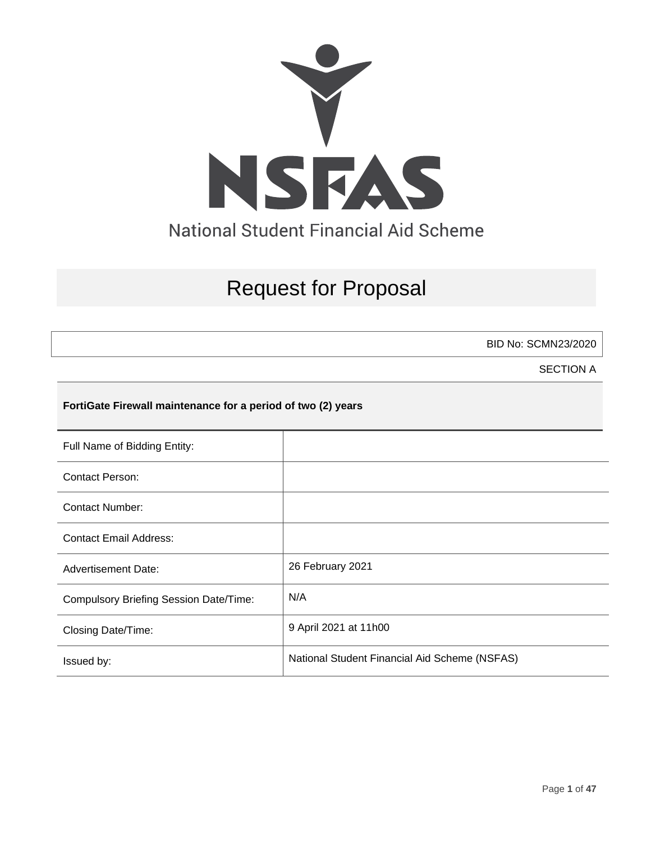

# Request for Proposal

BID No: SCMN23/2020

SECTION A

# **FortiGate Firewall maintenance for a period of two (2) years**

| Full Name of Bidding Entity:                  |                                               |
|-----------------------------------------------|-----------------------------------------------|
| Contact Person:                               |                                               |
| <b>Contact Number:</b>                        |                                               |
| <b>Contact Email Address:</b>                 |                                               |
| <b>Advertisement Date:</b>                    | 26 February 2021                              |
| <b>Compulsory Briefing Session Date/Time:</b> | N/A                                           |
| Closing Date/Time:                            | 9 April 2021 at 11h00                         |
| Issued by:                                    | National Student Financial Aid Scheme (NSFAS) |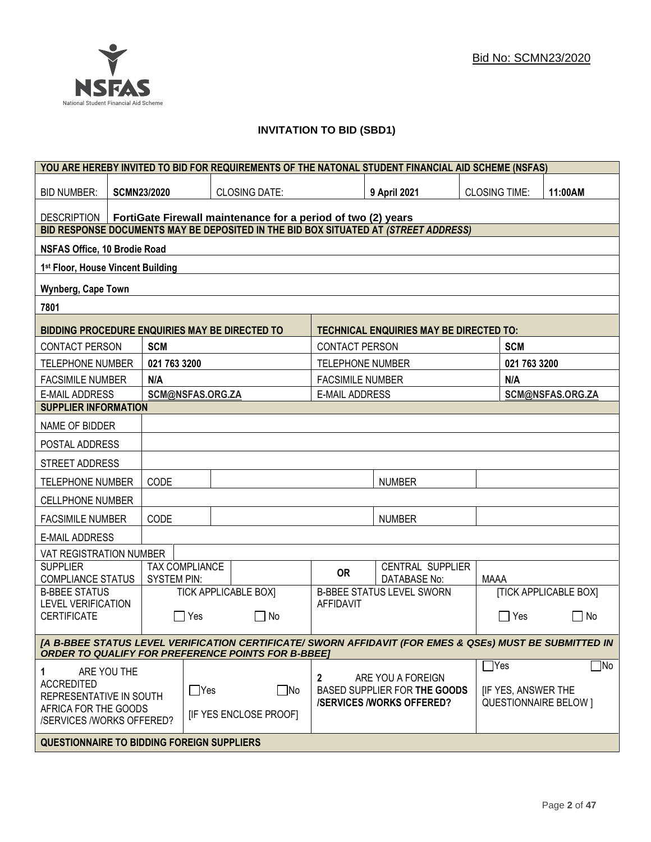# **INVITATION TO BID (SBD1)**

| YOU ARE HEREBY INVITED TO BID FOR REQUIREMENTS OF THE NATONAL STUDENT FINANCIAL AID SCHEME (NSFAS)                                                                   |                             |                       |                                                              |                                                                                      |                                                |                           |                              |                  |
|----------------------------------------------------------------------------------------------------------------------------------------------------------------------|-----------------------------|-----------------------|--------------------------------------------------------------|--------------------------------------------------------------------------------------|------------------------------------------------|---------------------------|------------------------------|------------------|
| <b>BID NUMBER:</b>                                                                                                                                                   | <b>SCMN23/2020</b>          |                       | <b>CLOSING DATE:</b>                                         |                                                                                      | 9 April 2021                                   | <b>CLOSING TIME:</b>      |                              | 11:00AM          |
| <b>DESCRIPTION</b>                                                                                                                                                   |                             |                       | FortiGate Firewall maintenance for a period of two (2) years |                                                                                      |                                                |                           |                              |                  |
| BID RESPONSE DOCUMENTS MAY BE DEPOSITED IN THE BID BOX SITUATED AT (STREET ADDRESS)                                                                                  |                             |                       |                                                              |                                                                                      |                                                |                           |                              |                  |
| NSFAS Office, 10 Brodie Road                                                                                                                                         |                             |                       |                                                              |                                                                                      |                                                |                           |                              |                  |
| 1st Floor, House Vincent Building                                                                                                                                    |                             |                       |                                                              |                                                                                      |                                                |                           |                              |                  |
| Wynberg, Cape Town                                                                                                                                                   |                             |                       |                                                              |                                                                                      |                                                |                           |                              |                  |
| 7801                                                                                                                                                                 |                             |                       |                                                              |                                                                                      |                                                |                           |                              |                  |
| BIDDING PROCEDURE ENQUIRIES MAY BE DIRECTED TO                                                                                                                       |                             |                       |                                                              |                                                                                      | <b>TECHNICAL ENQUIRIES MAY BE DIRECTED TO:</b> |                           |                              |                  |
| CONTACT PERSON                                                                                                                                                       | <b>SCM</b>                  |                       |                                                              | <b>CONTACT PERSON</b>                                                                |                                                |                           | <b>SCM</b>                   |                  |
| <b>TELEPHONE NUMBER</b>                                                                                                                                              | 021 763 3200                |                       |                                                              | <b>TELEPHONE NUMBER</b>                                                              |                                                |                           | 021 763 3200                 |                  |
| <b>FACSIMILE NUMBER</b>                                                                                                                                              | N/A                         |                       |                                                              | <b>FACSIMILE NUMBER</b>                                                              |                                                |                           | N/A                          |                  |
| <b>E-MAIL ADDRESS</b>                                                                                                                                                |                             | SCM@NSFAS.ORG.ZA      |                                                              | <b>E-MAIL ADDRESS</b>                                                                |                                                |                           |                              | SCM@NSFAS.ORG.ZA |
| <b>SUPPLIER INFORMATION</b>                                                                                                                                          |                             |                       |                                                              |                                                                                      |                                                |                           |                              |                  |
| NAME OF BIDDER                                                                                                                                                       |                             |                       |                                                              |                                                                                      |                                                |                           |                              |                  |
| POSTAL ADDRESS                                                                                                                                                       |                             |                       |                                                              |                                                                                      |                                                |                           |                              |                  |
| STREET ADDRESS                                                                                                                                                       |                             |                       |                                                              |                                                                                      |                                                |                           |                              |                  |
| <b>TELEPHONE NUMBER</b>                                                                                                                                              | CODE                        |                       |                                                              |                                                                                      | <b>NUMBER</b>                                  |                           |                              |                  |
| <b>CELLPHONE NUMBER</b>                                                                                                                                              |                             |                       |                                                              |                                                                                      |                                                |                           |                              |                  |
| <b>FACSIMILE NUMBER</b>                                                                                                                                              | CODE                        |                       |                                                              |                                                                                      | <b>NUMBER</b>                                  |                           |                              |                  |
| <b>E-MAIL ADDRESS</b>                                                                                                                                                |                             |                       |                                                              |                                                                                      |                                                |                           |                              |                  |
| VAT REGISTRATION NUMBER                                                                                                                                              |                             |                       |                                                              |                                                                                      |                                                |                           |                              |                  |
| <b>SUPPLIER</b><br><b>COMPLIANCE STATUS</b>                                                                                                                          | <b>SYSTEM PIN:</b>          | <b>TAX COMPLIANCE</b> |                                                              | <b>OR</b>                                                                            | CENTRAL SUPPLIER<br><b>DATABASE No:</b>        | MAAA                      |                              |                  |
| <b>B-BBEE STATUS</b>                                                                                                                                                 | <b>TICK APPLICABLE BOX]</b> |                       |                                                              | <b>B-BBEE STATUS LEVEL SWORN</b>                                                     |                                                |                           | <b>[TICK APPLICABLE BOX]</b> |                  |
| <b>LEVEL VERIFICATION</b><br><b>CERTIFICATE</b><br>Yes<br>$\Box$ No                                                                                                  |                             | <b>AFFIDAVIT</b>      |                                                              |                                                                                      | Yes                                            | No<br>$\Box$              |                              |                  |
| [A B-BBEE STATUS LEVEL VERIFICATION CERTIFICATE/ SWORN AFFIDAVIT (FOR EMES & QSEs) MUST BE SUBMITTED IN<br><b>ORDER TO QUALIFY FOR PREFERENCE POINTS FOR B-BBEET</b> |                             |                       |                                                              |                                                                                      |                                                |                           |                              |                  |
|                                                                                                                                                                      |                             |                       |                                                              |                                                                                      |                                                |                           | $\exists$ Yes                | $\Box$ No        |
| ARE YOU THE<br>1<br><b>ACCREDITED</b><br>$\Box$ Yes<br>REPRESENTATIVE IN SOUTH                                                                                       |                             | $\square$ No          | 2                                                            | ARE YOU A FOREIGN<br>BASED SUPPLIER FOR THE GOODS<br><b>/SERVICES/WORKS OFFERED?</b> |                                                | <b>IF YES, ANSWER THE</b> | <b>QUESTIONNAIRE BELOW 1</b> |                  |
| AFRICA FOR THE GOODS<br>[IF YES ENCLOSE PROOF]<br>/SERVICES /WORKS OFFERED?                                                                                          |                             |                       |                                                              |                                                                                      |                                                |                           |                              |                  |
| QUESTIONNAIRE TO BIDDING FOREIGN SUPPLIERS                                                                                                                           |                             |                       |                                                              |                                                                                      |                                                |                           |                              |                  |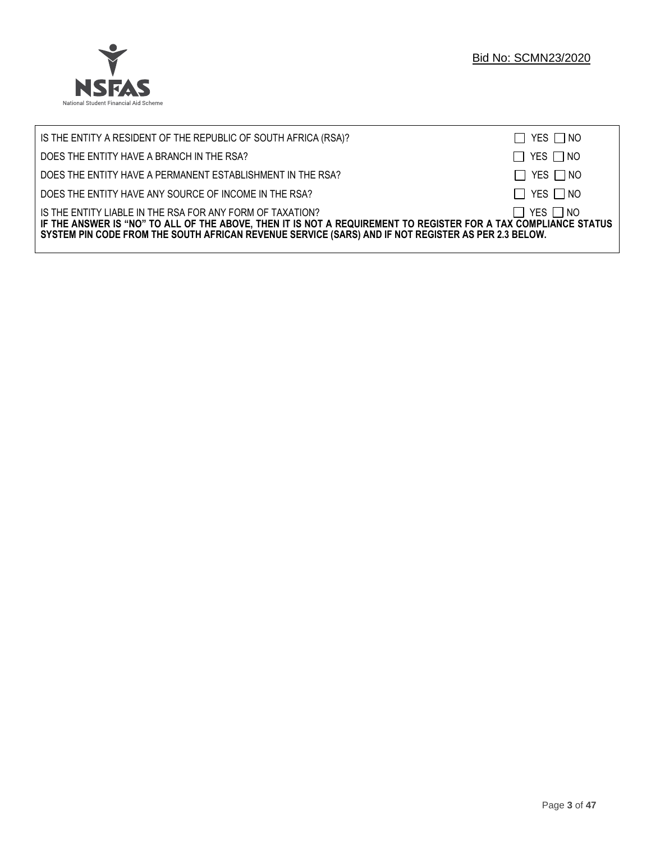

| IS THE ENTITY A RESIDENT OF THE REPUBLIC OF SOUTH AFRICA (RSA)?                                                                                                                                                                                                                     | $\Box$ YES $\Box$ NO |
|-------------------------------------------------------------------------------------------------------------------------------------------------------------------------------------------------------------------------------------------------------------------------------------|----------------------|
| DOES THE ENTITY HAVE A BRANCH IN THE RSA?                                                                                                                                                                                                                                           | $\Box$ YES $\Box$ NO |
| DOES THE ENTITY HAVE A PERMANENT ESTABLISHMENT IN THE RSA?                                                                                                                                                                                                                          | $\Box$ YES $\Box$ NO |
| DOES THE ENTITY HAVE ANY SOURCE OF INCOME IN THE RSA?                                                                                                                                                                                                                               | $\Box$ YES $\Box$ NO |
| IS THE ENTITY LIABLE IN THE RSA FOR ANY FORM OF TAXATION?<br>IF THE ANSWER IS "NO" TO ALL OF THE ABOVE, THEN IT IS NOT A REQUIREMENT TO REGISTER FOR A TAX COMPLIANCE STATUS<br>SYSTEM PIN CODE FROM THE SOUTH AFRICAN REVENUE SERVICE (SARS) AND IF NOT REGISTER AS PER 2.3 BELOW. | $\Box$ YES $\Box$ NO |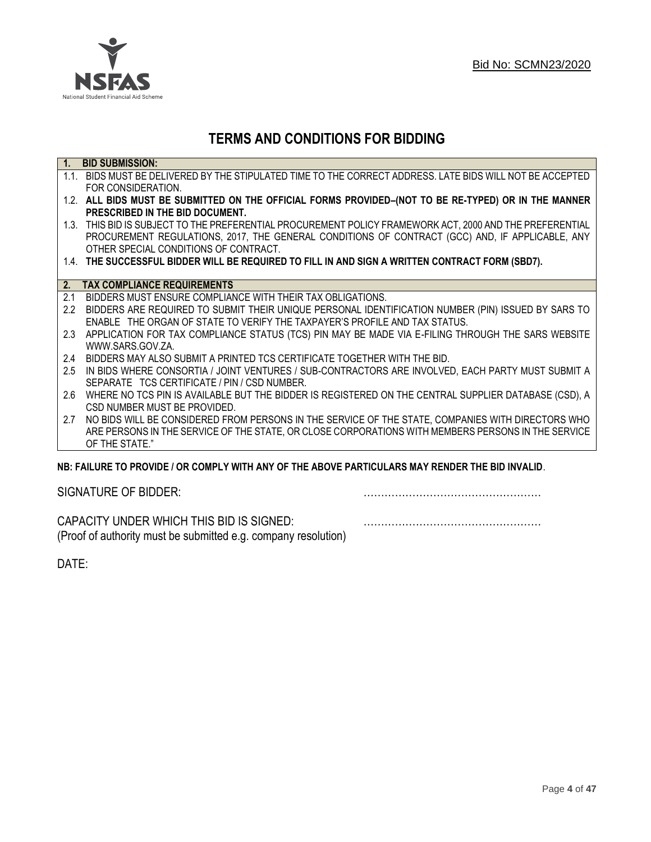

# **TERMS AND CONDITIONS FOR BIDDING**

| $\overline{1}$ . | <b>BID SUBMISSION:</b>                                                                                    |
|------------------|-----------------------------------------------------------------------------------------------------------|
|                  | 1.1. BIDS MUST BE DELIVERED BY THE STIPULATED TIME TO THE CORRECT ADDRESS. LATE BIDS WILL NOT BE ACCEPTED |
|                  | FOR CONSIDERATION.                                                                                        |
|                  | 1.2. ALL BIDS MUST BE SUBMITTED ON THE OFFICIAL FORMS PROVIDED-(NOT TO BE RE-TYPED) OR IN THE MANNER      |
|                  | PRESCRIBED IN THE BID DOCUMENT.                                                                           |
|                  | 1.3. THIS BID IS SUBJECT TO THE PREFERENTIAL PROCUREMENT POLICY FRAMEWORK ACT, 2000 AND THE PREFERENTIAL  |
|                  | PROCUREMENT REGULATIONS, 2017, THE GENERAL CONDITIONS OF CONTRACT (GCC) AND, IF APPLICABLE, ANY           |
|                  | OTHER SPECIAL CONDITIONS OF CONTRACT.                                                                     |
|                  | 1.4. THE SUCCESSFUL BIDDER WILL BE REQUIRED TO FILL IN AND SIGN A WRITTEN CONTRACT FORM (SBD7).           |
|                  |                                                                                                           |
| 2.               | <b>TAX COMPLIANCE REQUIREMENTS</b>                                                                        |
| 2.1              | BIDDERS MUST ENSURE COMPLIANCE WITH THEIR TAX OBLIGATIONS.                                                |
| 2.2              | BIDDERS ARE REQUIRED TO SUBMIT THEIR UNIQUE PERSONAL IDENTIFICATION NUMBER (PIN) ISSUED BY SARS TO        |
|                  | ENABLE THE ORGAN OF STATE TO VERIFY THE TAXPAYER'S PROFILE AND TAX STATUS.                                |
| 2.3              | APPLICATION FOR TAX COMPLIANCE STATUS (TCS) PIN MAY BE MADE VIA E-FILING THROUGH THE SARS WEBSITE         |
|                  | WWW.SARS.GOV.ZA.                                                                                          |
| 2.4              | BIDDERS MAY ALSO SUBMIT A PRINTED TCS CERTIFICATE TOGETHER WITH THE BID.                                  |
| 2.5              | IN BIDS WHERE CONSORTIA / JOINT VENTURES / SUB-CONTRACTORS ARE INVOLVED, EACH PARTY MUST SUBMIT A         |
|                  | SEPARATE TCS CERTIFICATE / PIN / CSD NUMBER.                                                              |
| 2.6              | WHERE NO TCS PIN IS AVAILABLE BUT THE BIDDER IS REGISTERED ON THE CENTRAL SUPPLIER DATABASE (CSD), A      |
|                  | CSD NUMBER MUST BE PROVIDED.                                                                              |
| 2.7              | NO BIDS WILL BE CONSIDERED FROM PERSONS IN THE SERVICE OF THE STATE, COMPANIES WITH DIRECTORS WHO         |
|                  | ARE PERSONS IN THE SERVICE OF THE STATE, OR CLOSE CORPORATIONS WITH MEMBERS PERSONS IN THE SERVICE        |
|                  | OF THE STATE."                                                                                            |
|                  | NR: EAILHRE TO DROVINE LOR COMPLY WITH ANY OF THE AROVE DARTICHLARS MAY RENNER THE RID INVALID            |

# **NB: FAILURE TO PROVIDE / OR COMPLY WITH ANY OF THE ABOVE PARTICULARS MAY RENDER THE BID INVALID**.

|  | SIGNATURE OF BIDDER: |
|--|----------------------|
|--|----------------------|

SIGNATURE OF BIDDER: ……………………………………………

CAPACITY UNDER WHICH THIS BID IS SIGNED: …………………………………………… (Proof of authority must be submitted e.g. company resolution)

DATE: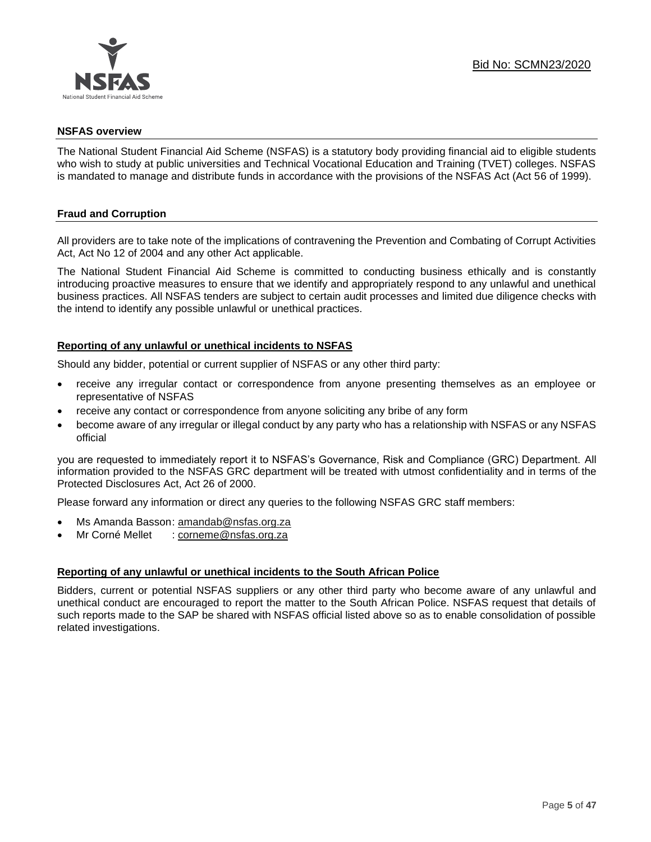

#### **NSFAS overview**

The National Student Financial Aid Scheme (NSFAS) is a statutory body providing financial aid to eligible students who wish to study at public universities and Technical Vocational Education and Training (TVET) colleges. NSFAS is mandated to manage and distribute funds in accordance with the provisions of the NSFAS Act (Act 56 of 1999).

# **Fraud and Corruption**

All providers are to take note of the implications of contravening the Prevention and Combating of Corrupt Activities Act, Act No 12 of 2004 and any other Act applicable.

The National Student Financial Aid Scheme is committed to conducting business ethically and is constantly introducing proactive measures to ensure that we identify and appropriately respond to any unlawful and unethical business practices. All NSFAS tenders are subject to certain audit processes and limited due diligence checks with the intend to identify any possible unlawful or unethical practices.

#### **Reporting of any unlawful or unethical incidents to NSFAS**

Should any bidder, potential or current supplier of NSFAS or any other third party:

- receive any irregular contact or correspondence from anyone presenting themselves as an employee or representative of NSFAS
- receive any contact or correspondence from anyone soliciting any bribe of any form
- become aware of any irregular or illegal conduct by any party who has a relationship with NSFAS or any NSFAS official

you are requested to immediately report it to NSFAS's Governance, Risk and Compliance (GRC) Department. All information provided to the NSFAS GRC department will be treated with utmost confidentiality and in terms of the Protected Disclosures Act, Act 26 of 2000.

Please forward any information or direct any queries to the following NSFAS GRC staff members:

- Ms Amanda Basson: [amandab@nsfas.org.za](mailto:amandab@nsfas.org.za)
- Mr Corné Mellet : [corneme@nsfas.org.za](mailto:corneme@nsfas.org.za)

#### **Reporting of any unlawful or unethical incidents to the South African Police**

Bidders, current or potential NSFAS suppliers or any other third party who become aware of any unlawful and unethical conduct are encouraged to report the matter to the South African Police. NSFAS request that details of such reports made to the SAP be shared with NSFAS official listed above so as to enable consolidation of possible related investigations.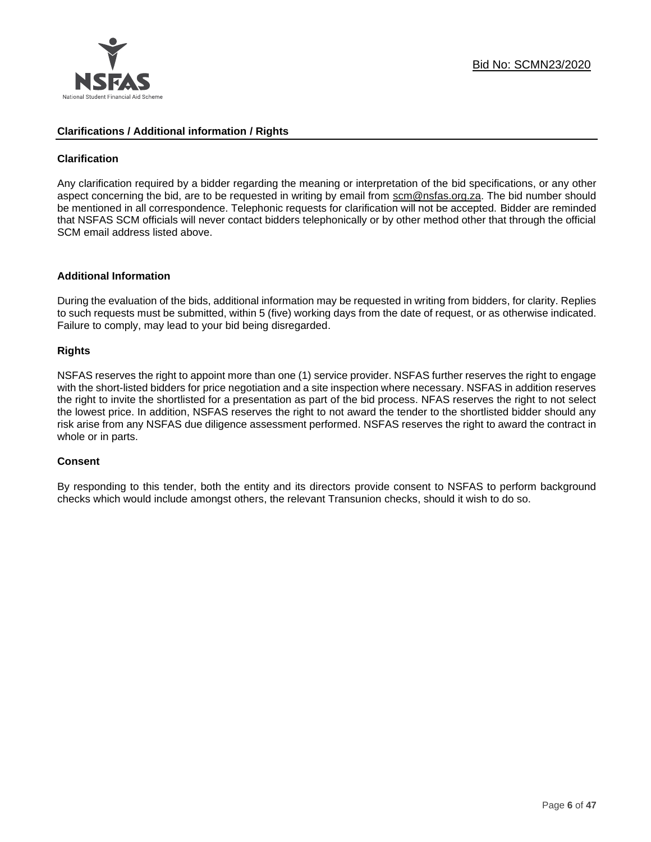

#### **Clarifications / Additional information / Rights**

# **Clarification**

Any clarification required by a bidder regarding the meaning or interpretation of the bid specifications, or any other aspect concerning the bid, are to be requested in writing by email from scm@nsfas.org.za. The bid number should be mentioned in all correspondence. Telephonic requests for clarification will not be accepted. Bidder are reminded that NSFAS SCM officials will never contact bidders telephonically or by other method other that through the official SCM email address listed above.

#### **Additional Information**

During the evaluation of the bids, additional information may be requested in writing from bidders, for clarity. Replies to such requests must be submitted, within 5 (five) working days from the date of request, or as otherwise indicated. Failure to comply, may lead to your bid being disregarded.

# **Rights**

NSFAS reserves the right to appoint more than one (1) service provider. NSFAS further reserves the right to engage with the short-listed bidders for price negotiation and a site inspection where necessary. NSFAS in addition reserves the right to invite the shortlisted for a presentation as part of the bid process. NFAS reserves the right to not select the lowest price. In addition, NSFAS reserves the right to not award the tender to the shortlisted bidder should any risk arise from any NSFAS due diligence assessment performed. NSFAS reserves the right to award the contract in whole or in parts.

#### **Consent**

By responding to this tender, both the entity and its directors provide consent to NSFAS to perform background checks which would include amongst others, the relevant Transunion checks, should it wish to do so.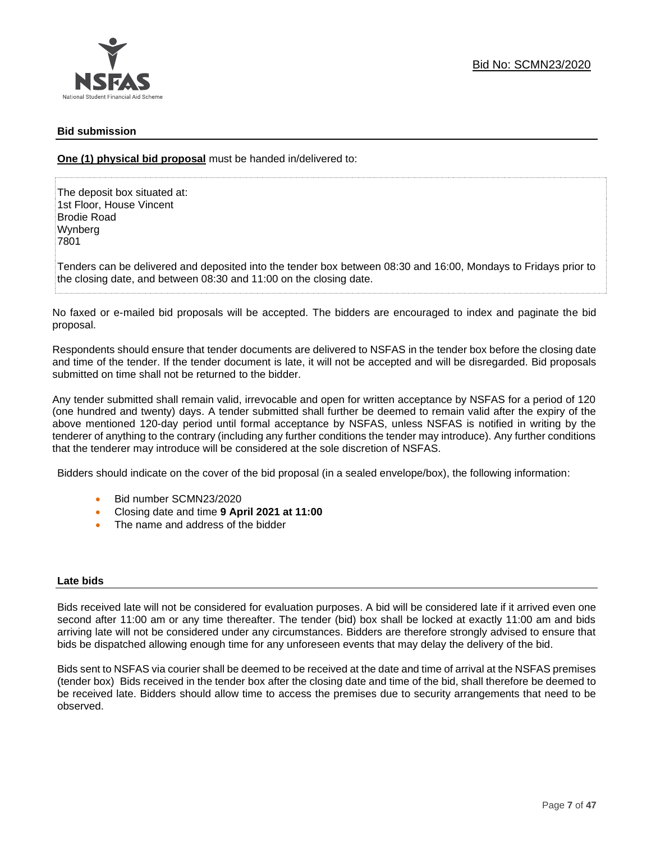# **Bid submission**

**One (1) physical bid proposal** must be handed in/delivered to:

The deposit box situated at: 1st Floor, House Vincent Brodie Road Wynberg 7801

Tenders can be delivered and deposited into the tender box between 08:30 and 16:00, Mondays to Fridays prior to the closing date, and between 08:30 and 11:00 on the closing date.

No faxed or e-mailed bid proposals will be accepted. The bidders are encouraged to index and paginate the bid proposal.

Respondents should ensure that tender documents are delivered to NSFAS in the tender box before the closing date and time of the tender. If the tender document is late, it will not be accepted and will be disregarded. Bid proposals submitted on time shall not be returned to the bidder.

Any tender submitted shall remain valid, irrevocable and open for written acceptance by NSFAS for a period of 120 (one hundred and twenty) days. A tender submitted shall further be deemed to remain valid after the expiry of the above mentioned 120-day period until formal acceptance by NSFAS, unless NSFAS is notified in writing by the tenderer of anything to the contrary (including any further conditions the tender may introduce). Any further conditions that the tenderer may introduce will be considered at the sole discretion of NSFAS.

Bidders should indicate on the cover of the bid proposal (in a sealed envelope/box), the following information:

- Bid number SCMN23/2020
- Closing date and time **9 April 2021 at 11:00**
- The name and address of the bidder

#### **Late bids**

Bids received late will not be considered for evaluation purposes. A bid will be considered late if it arrived even one second after 11:00 am or any time thereafter. The tender (bid) box shall be locked at exactly 11:00 am and bids arriving late will not be considered under any circumstances. Bidders are therefore strongly advised to ensure that bids be dispatched allowing enough time for any unforeseen events that may delay the delivery of the bid.

Bids sent to NSFAS via courier shall be deemed to be received at the date and time of arrival at the NSFAS premises (tender box) Bids received in the tender box after the closing date and time of the bid, shall therefore be deemed to be received late. Bidders should allow time to access the premises due to security arrangements that need to be observed.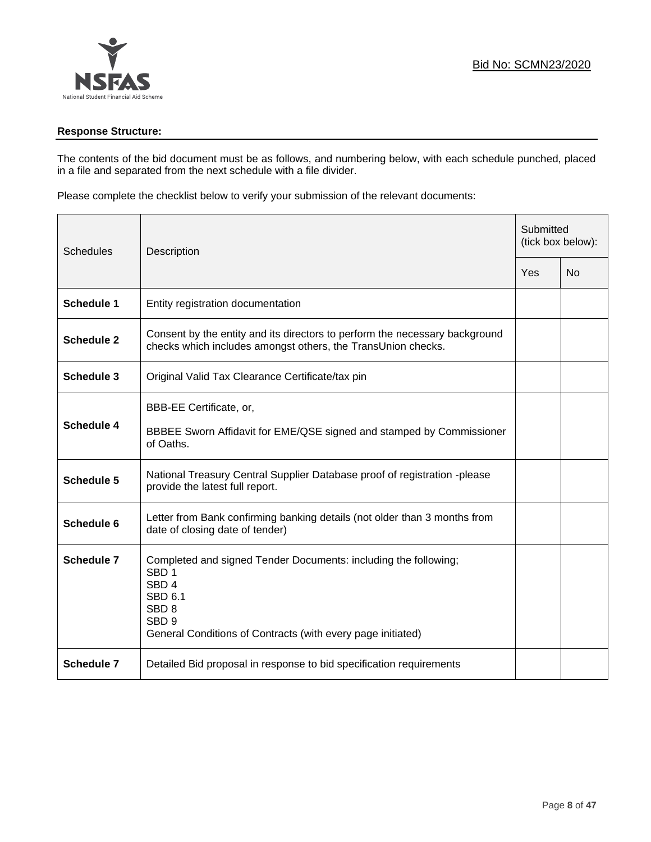# **Response Structure:**

The contents of the bid document must be as follows, and numbering below, with each schedule punched, placed in a file and separated from the next schedule with a file divider.

Please complete the checklist below to verify your submission of the relevant documents:

| Schedules         | Description<br>Yes                                                                                                                                                                                                               |  | Submitted<br>(tick box below): |  |
|-------------------|----------------------------------------------------------------------------------------------------------------------------------------------------------------------------------------------------------------------------------|--|--------------------------------|--|
|                   |                                                                                                                                                                                                                                  |  | N <sub>0</sub>                 |  |
| <b>Schedule 1</b> | Entity registration documentation                                                                                                                                                                                                |  |                                |  |
| <b>Schedule 2</b> | Consent by the entity and its directors to perform the necessary background<br>checks which includes amongst others, the TransUnion checks.                                                                                      |  |                                |  |
| Schedule 3        | Original Valid Tax Clearance Certificate/tax pin                                                                                                                                                                                 |  |                                |  |
| Schedule 4        | BBB-EE Certificate, or,<br>BBBEE Sworn Affidavit for EME/QSE signed and stamped by Commissioner<br>of Oaths.                                                                                                                     |  |                                |  |
| Schedule 5        | National Treasury Central Supplier Database proof of registration -please<br>provide the latest full report.                                                                                                                     |  |                                |  |
| Schedule 6        | Letter from Bank confirming banking details (not older than 3 months from<br>date of closing date of tender)                                                                                                                     |  |                                |  |
| <b>Schedule 7</b> | Completed and signed Tender Documents: including the following;<br>SBD <sub>1</sub><br>SBD <sub>4</sub><br><b>SBD 6.1</b><br>SBD <sub>8</sub><br>SBD <sub>9</sub><br>General Conditions of Contracts (with every page initiated) |  |                                |  |
| <b>Schedule 7</b> | Detailed Bid proposal in response to bid specification requirements                                                                                                                                                              |  |                                |  |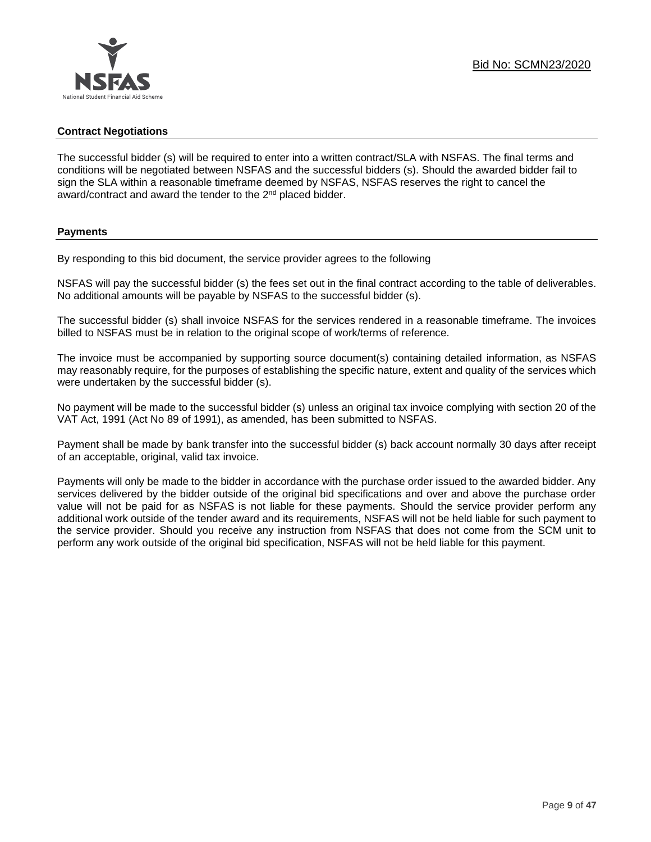# **Contract Negotiations**

The successful bidder (s) will be required to enter into a written contract/SLA with NSFAS. The final terms and conditions will be negotiated between NSFAS and the successful bidders (s). Should the awarded bidder fail to sign the SLA within a reasonable timeframe deemed by NSFAS, NSFAS reserves the right to cancel the award/contract and award the tender to the 2<sup>nd</sup> placed bidder.

#### **Payments**

By responding to this bid document, the service provider agrees to the following

NSFAS will pay the successful bidder (s) the fees set out in the final contract according to the table of deliverables. No additional amounts will be payable by NSFAS to the successful bidder (s).

The successful bidder (s) shall invoice NSFAS for the services rendered in a reasonable timeframe. The invoices billed to NSFAS must be in relation to the original scope of work/terms of reference.

The invoice must be accompanied by supporting source document(s) containing detailed information, as NSFAS may reasonably require, for the purposes of establishing the specific nature, extent and quality of the services which were undertaken by the successful bidder (s).

No payment will be made to the successful bidder (s) unless an original tax invoice complying with section 20 of the VAT Act, 1991 (Act No 89 of 1991), as amended, has been submitted to NSFAS.

Payment shall be made by bank transfer into the successful bidder (s) back account normally 30 days after receipt of an acceptable, original, valid tax invoice.

Payments will only be made to the bidder in accordance with the purchase order issued to the awarded bidder. Any services delivered by the bidder outside of the original bid specifications and over and above the purchase order value will not be paid for as NSFAS is not liable for these payments. Should the service provider perform any additional work outside of the tender award and its requirements, NSFAS will not be held liable for such payment to the service provider. Should you receive any instruction from NSFAS that does not come from the SCM unit to perform any work outside of the original bid specification, NSFAS will not be held liable for this payment.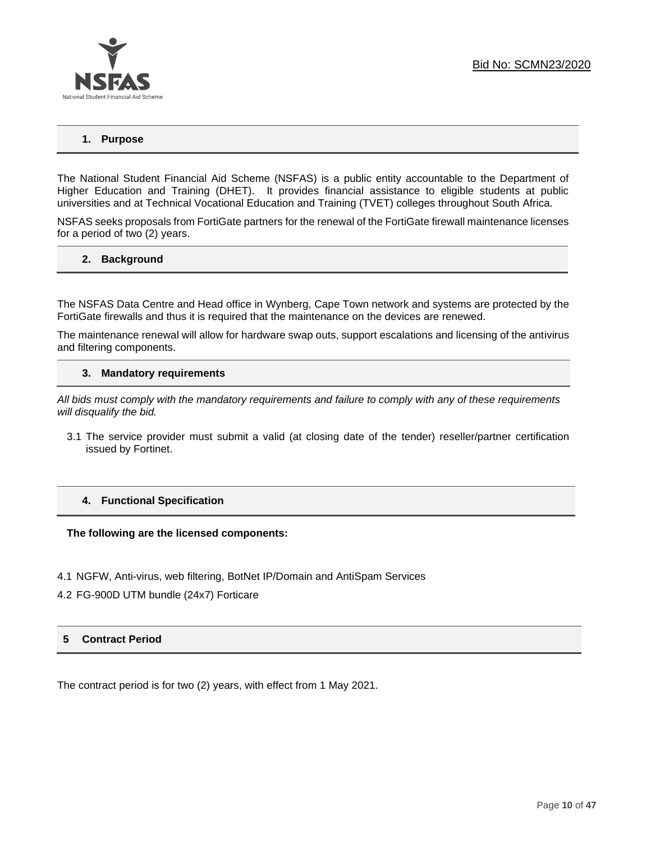# **1. Purpose**

The National Student Financial Aid Scheme (NSFAS) is a public entity accountable to the Department of Higher Education and Training (DHET). It provides financial assistance to eligible students at public universities and at Technical Vocational Education and Training (TVET) colleges throughout South Africa.

NSFAS seeks proposals from FortiGate partners for the renewal of the FortiGate firewall maintenance licenses for a period of two (2) years.

#### **2. Background**

The NSFAS Data Centre and Head office in Wynberg, Cape Town network and systems are protected by the FortiGate firewalls and thus it is required that the maintenance on the devices are renewed.

The maintenance renewal will allow for hardware swap outs, support escalations and licensing of the antivirus and filtering components.

#### **3. Mandatory requirements**

*All bids must comply with the mandatory requirements and failure to comply with any of these requirements will disqualify the bid.*

3.1 The service provider must submit a valid (at closing date of the tender) reseller/partner certification issued by Fortinet.

#### **4. Functional Specification**

**The following are the licensed components:**

- 4.1 NGFW, Anti-virus, web filtering, BotNet IP/Domain and AntiSpam Services
- 4.2 FG-900D UTM bundle (24x7) Forticare

# **5 Contract Period**

The contract period is for two (2) years, with effect from 1 May 2021.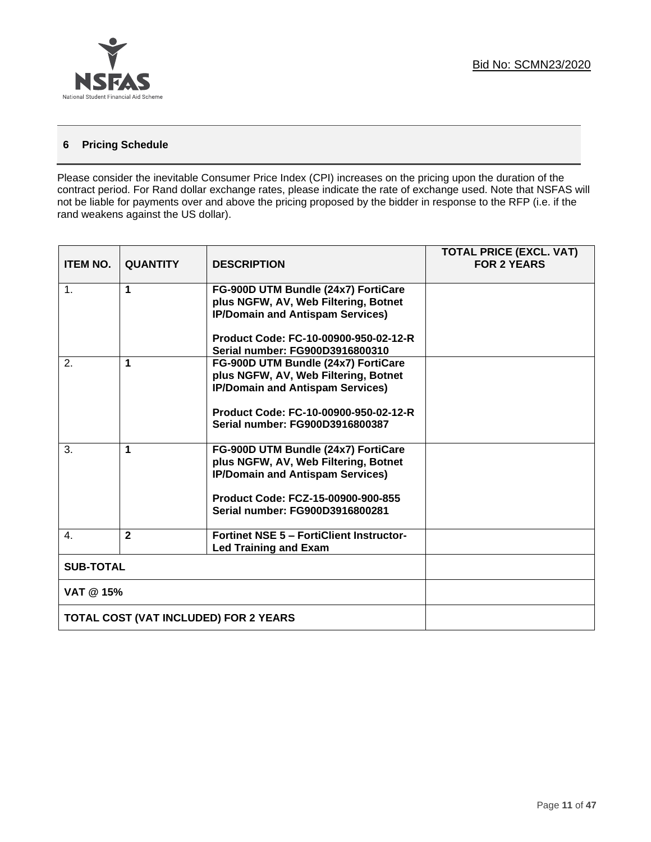

# **6 Pricing Schedule**

Please consider the inevitable Consumer Price Index (CPI) increases on the pricing upon the duration of the contract period. For Rand dollar exchange rates, please indicate the rate of exchange used. Note that NSFAS will not be liable for payments over and above the pricing proposed by the bidder in response to the RFP (i.e. if the rand weakens against the US dollar).

| <b>ITEM NO.</b>                              | <b>QUANTITY</b>      | <b>DESCRIPTION</b>                                                                                                                                                                              | <b>TOTAL PRICE (EXCL. VAT)</b><br><b>FOR 2 YEARS</b> |
|----------------------------------------------|----------------------|-------------------------------------------------------------------------------------------------------------------------------------------------------------------------------------------------|------------------------------------------------------|
| $\mathbf{1}$ .                               | $\blacktriangleleft$ | FG-900D UTM Bundle (24x7) FortiCare<br>plus NGFW, AV, Web Filtering, Botnet<br><b>IP/Domain and Antispam Services)</b>                                                                          |                                                      |
|                                              |                      | Product Code: FC-10-00900-950-02-12-R<br>Serial number: FG900D3916800310                                                                                                                        |                                                      |
| 2.                                           | 1                    | FG-900D UTM Bundle (24x7) FortiCare<br>plus NGFW, AV, Web Filtering, Botnet<br><b>IP/Domain and Antispam Services)</b><br>Product Code: FC-10-00900-950-02-12-R                                 |                                                      |
|                                              |                      | Serial number: FG900D3916800387                                                                                                                                                                 |                                                      |
| $\mathbf{3}$ .                               | $\blacktriangleleft$ | FG-900D UTM Bundle (24x7) FortiCare<br>plus NGFW, AV, Web Filtering, Botnet<br><b>IP/Domain and Antispam Services)</b><br>Product Code: FCZ-15-00900-900-855<br>Serial number: FG900D3916800281 |                                                      |
| 4.                                           | $\overline{2}$       | <b>Fortinet NSE 5 - FortiClient Instructor-</b><br><b>Led Training and Exam</b>                                                                                                                 |                                                      |
| <b>SUB-TOTAL</b>                             |                      |                                                                                                                                                                                                 |                                                      |
|                                              | VAT @ 15%            |                                                                                                                                                                                                 |                                                      |
| <b>TOTAL COST (VAT INCLUDED) FOR 2 YEARS</b> |                      |                                                                                                                                                                                                 |                                                      |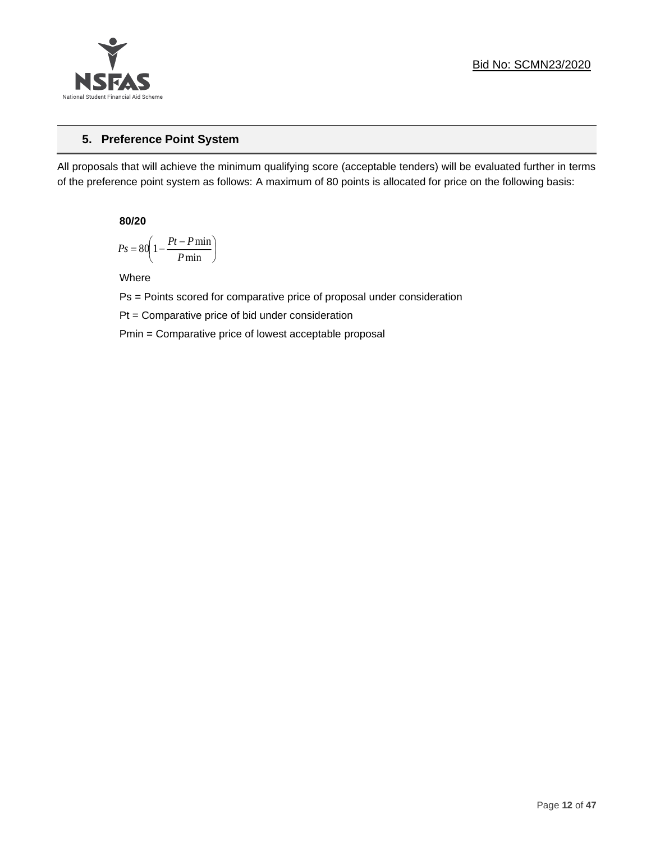

# **5. Preference Point System**

All proposals that will achieve the minimum qualifying score (acceptable tenders) will be evaluated further in terms of the preference point system as follows: A maximum of 80 points is allocated for price on the following basis:

**80/20**

$$
Ps = 80 \left( 1 - \frac{Pt - P \min}{P \min} \right)
$$

Where

Ps = Points scored for comparative price of proposal under consideration

Pt = Comparative price of bid under consideration

Pmin = Comparative price of lowest acceptable proposal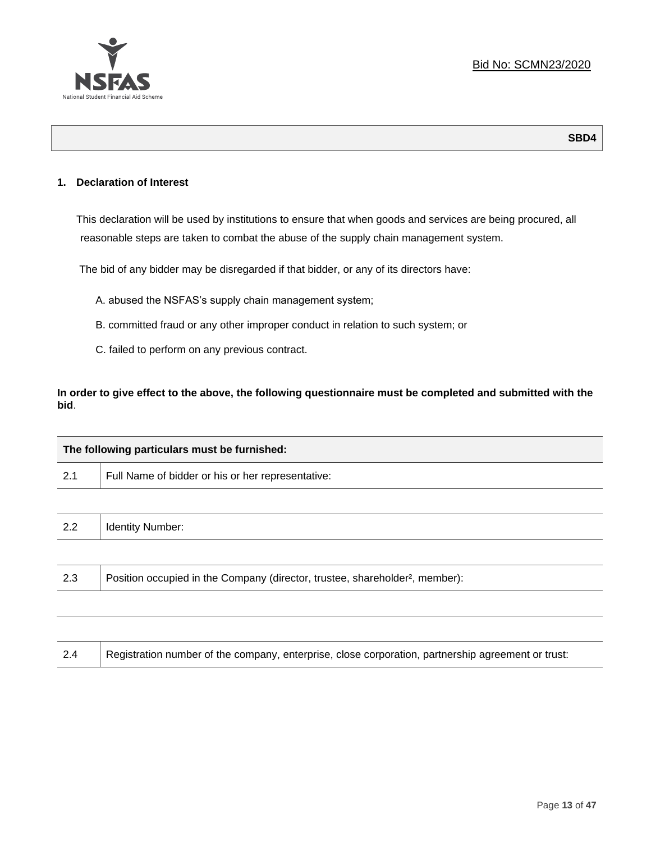

# **1. Declaration of Interest**

This declaration will be used by institutions to ensure that when goods and services are being procured, all reasonable steps are taken to combat the abuse of the supply chain management system.

The bid of any bidder may be disregarded if that bidder, or any of its directors have:

- A. abused the NSFAS's supply chain management system;
- B. committed fraud or any other improper conduct in relation to such system; or
- C. failed to perform on any previous contract.

**In order to give effect to the above, the following questionnaire must be completed and submitted with the bid**.

| The following particulars must be furnished: |                                                                                          |  |
|----------------------------------------------|------------------------------------------------------------------------------------------|--|
| 2.1                                          | Full Name of bidder or his or her representative:                                        |  |
|                                              |                                                                                          |  |
| 2.2                                          | <b>Identity Number:</b>                                                                  |  |
|                                              |                                                                                          |  |
| 2.3                                          | Position occupied in the Company (director, trustee, shareholder <sup>2</sup> , member): |  |
|                                              |                                                                                          |  |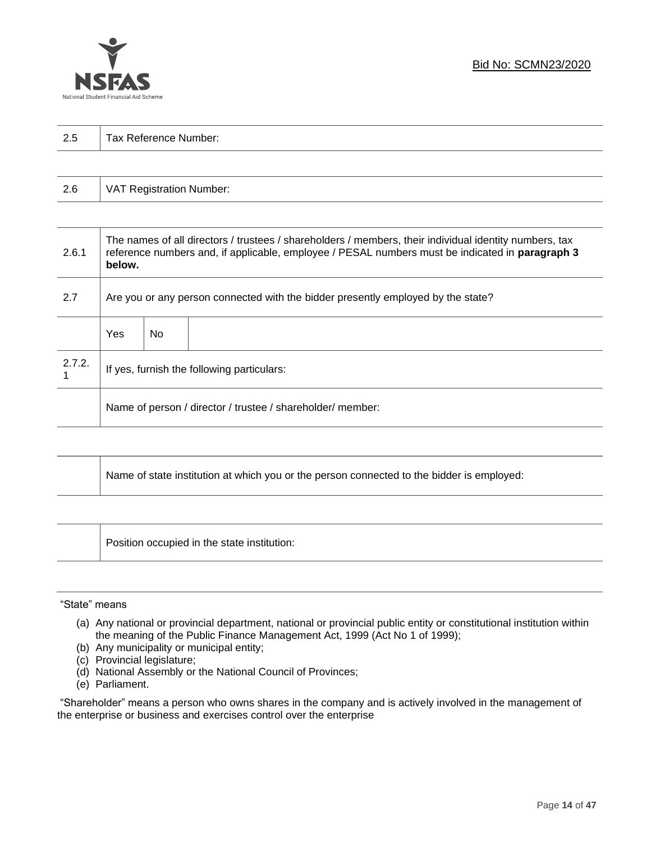

| っょ<br>ن ک | $\overline{\phantom{0}}$<br>-<br>Tax Reference<br>Number: |
|-----------|-----------------------------------------------------------|
|           |                                                           |

| 2.6 | VAT Registration Number: |
|-----|--------------------------|
|-----|--------------------------|

| 2.6.1  | The names of all directors / trustees / shareholders / members, their individual identity numbers, tax<br>reference numbers and, if applicable, employee / PESAL numbers must be indicated in paragraph 3<br>below. |                                                                                  |  |  |  |
|--------|---------------------------------------------------------------------------------------------------------------------------------------------------------------------------------------------------------------------|----------------------------------------------------------------------------------|--|--|--|
| 2.7    |                                                                                                                                                                                                                     | Are you or any person connected with the bidder presently employed by the state? |  |  |  |
|        | Yes                                                                                                                                                                                                                 | No.                                                                              |  |  |  |
| 2.7.2. | If yes, furnish the following particulars:                                                                                                                                                                          |                                                                                  |  |  |  |
|        | Name of person / director / trustee / shareholder/ member:                                                                                                                                                          |                                                                                  |  |  |  |

| Name of state institution at which you or the person connected to the bidder is employed: |
|-------------------------------------------------------------------------------------------|
|                                                                                           |

Position occupied in the state institution:

#### "State" means

┱

- (a) Any national or provincial department, national or provincial public entity or constitutional institution within the meaning of the Public Finance Management Act, 1999 (Act No 1 of 1999);
- (b) Any municipality or municipal entity;
- (c) Provincial legislature;
- (d) National Assembly or the National Council of Provinces;
- (e) Parliament.

"Shareholder" means a person who owns shares in the company and is actively involved in the management of the enterprise or business and exercises control over the enterprise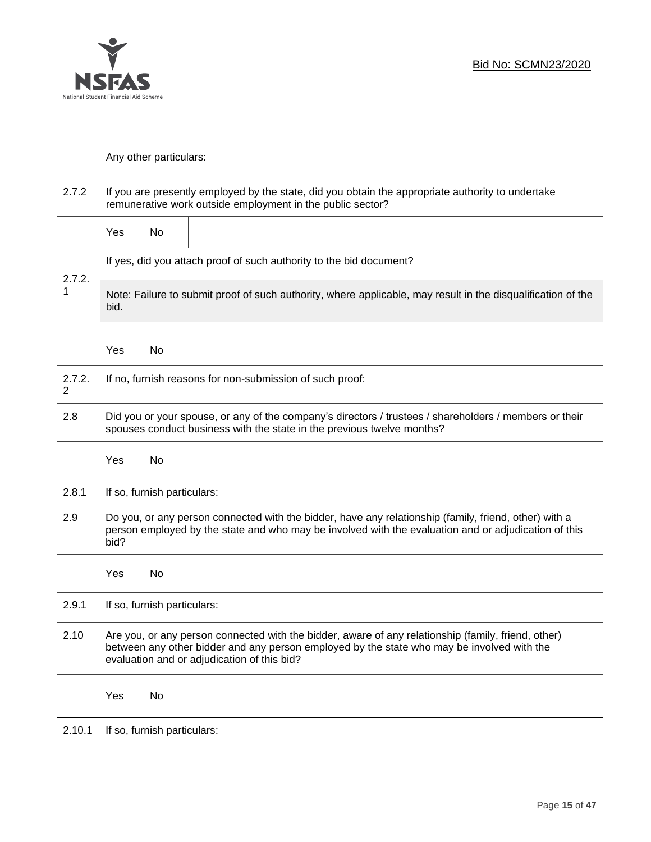

|             | Any other particulars:                                                                                                                                                                                                                           |                                                                     |                                                          |  |  |  |
|-------------|--------------------------------------------------------------------------------------------------------------------------------------------------------------------------------------------------------------------------------------------------|---------------------------------------------------------------------|----------------------------------------------------------|--|--|--|
| 2.7.2       | If you are presently employed by the state, did you obtain the appropriate authority to undertake<br>remunerative work outside employment in the public sector?                                                                                  |                                                                     |                                                          |  |  |  |
|             | Yes                                                                                                                                                                                                                                              | No                                                                  |                                                          |  |  |  |
|             |                                                                                                                                                                                                                                                  | If yes, did you attach proof of such authority to the bid document? |                                                          |  |  |  |
| 2.7.2.<br>1 | Note: Failure to submit proof of such authority, where applicable, may result in the disqualification of the<br>bid.                                                                                                                             |                                                                     |                                                          |  |  |  |
|             | Yes                                                                                                                                                                                                                                              | No                                                                  |                                                          |  |  |  |
| 2.7.2.<br>2 |                                                                                                                                                                                                                                                  |                                                                     | If no, furnish reasons for non-submission of such proof: |  |  |  |
| 2.8         | Did you or your spouse, or any of the company's directors / trustees / shareholders / members or their<br>spouses conduct business with the state in the previous twelve months?                                                                 |                                                                     |                                                          |  |  |  |
|             | Yes                                                                                                                                                                                                                                              | No                                                                  |                                                          |  |  |  |
| 2.8.1       | If so, furnish particulars:                                                                                                                                                                                                                      |                                                                     |                                                          |  |  |  |
| 2.9         | Do you, or any person connected with the bidder, have any relationship (family, friend, other) with a<br>person employed by the state and who may be involved with the evaluation and or adjudication of this<br>bid?                            |                                                                     |                                                          |  |  |  |
|             | Yes                                                                                                                                                                                                                                              | No                                                                  |                                                          |  |  |  |
| 2.9.1       | If so, furnish particulars:                                                                                                                                                                                                                      |                                                                     |                                                          |  |  |  |
| 2.10        | Are you, or any person connected with the bidder, aware of any relationship (family, friend, other)<br>between any other bidder and any person employed by the state who may be involved with the<br>evaluation and or adjudication of this bid? |                                                                     |                                                          |  |  |  |
|             | Yes                                                                                                                                                                                                                                              | No                                                                  |                                                          |  |  |  |
| 2.10.1      | If so, furnish particulars:                                                                                                                                                                                                                      |                                                                     |                                                          |  |  |  |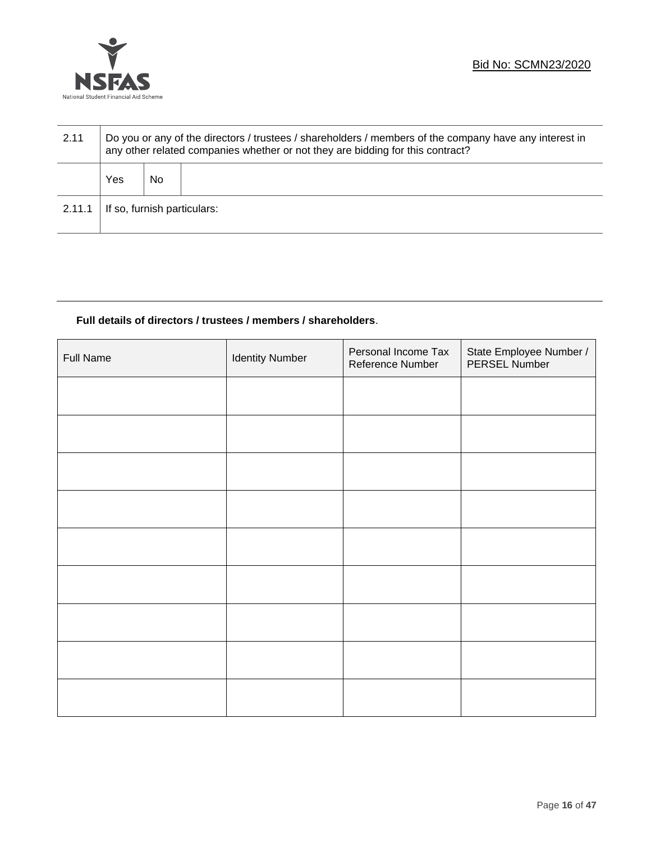

| 2.11   | Do you or any of the directors / trustees / shareholders / members of the company have any interest in<br>any other related companies whether or not they are bidding for this contract? |    |  |  |  |
|--------|------------------------------------------------------------------------------------------------------------------------------------------------------------------------------------------|----|--|--|--|
|        | Yes                                                                                                                                                                                      | No |  |  |  |
| 2.11.1 | If so, furnish particulars:                                                                                                                                                              |    |  |  |  |

# **Full details of directors / trustees / members / shareholders**.

| <b>Full Name</b> | <b>Identity Number</b> | Personal Income Tax<br>Reference Number | State Employee Number /<br>PERSEL Number |
|------------------|------------------------|-----------------------------------------|------------------------------------------|
|                  |                        |                                         |                                          |
|                  |                        |                                         |                                          |
|                  |                        |                                         |                                          |
|                  |                        |                                         |                                          |
|                  |                        |                                         |                                          |
|                  |                        |                                         |                                          |
|                  |                        |                                         |                                          |
|                  |                        |                                         |                                          |
|                  |                        |                                         |                                          |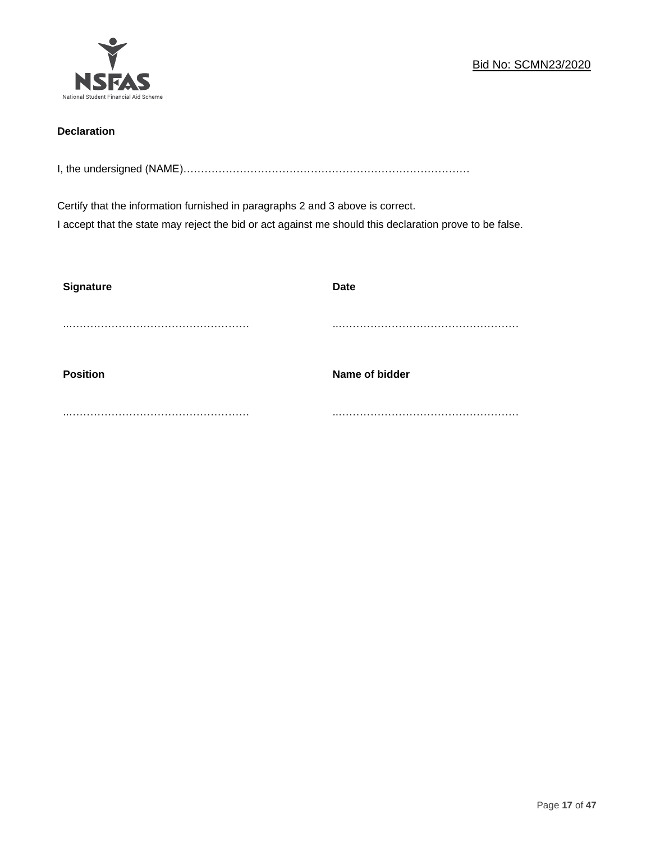

# **Declaration**

I, the undersigned (NAME)………………………………………………………………………

Certify that the information furnished in paragraphs 2 and 3 above is correct. I accept that the state may reject the bid or act against me should this declaration prove to be false.

| <b>Signature</b> | <b>Date</b>    |
|------------------|----------------|
|                  |                |
| <b>Position</b>  | Name of bidder |
|                  |                |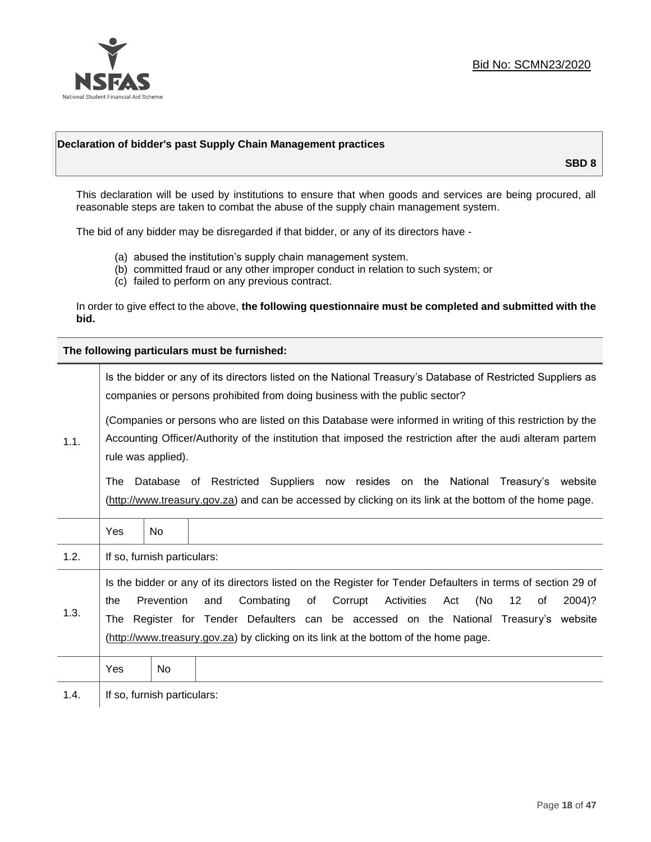

# **Declaration of bidder's past Supply Chain Management practices**

**SBD 8**

This declaration will be used by institutions to ensure that when goods and services are being procured, all reasonable steps are taken to combat the abuse of the supply chain management system.

The bid of any bidder may be disregarded if that bidder, or any of its directors have -

- (a) abused the institution's supply chain management system.
- (b) committed fraud or any other improper conduct in relation to such system; or
- (c) failed to perform on any previous contract.

In order to give effect to the above, **the following questionnaire must be completed and submitted with the bid.**

**The following particulars must be furnished:**

|      | Is the bidder or any of its directors listed on the National Treasury's Database of Restricted Suppliers as<br>companies or persons prohibited from doing business with the public sector?                                                    |                             |                                                                                                                                                                                                                                                                                                                                                                                       |  |  |
|------|-----------------------------------------------------------------------------------------------------------------------------------------------------------------------------------------------------------------------------------------------|-----------------------------|---------------------------------------------------------------------------------------------------------------------------------------------------------------------------------------------------------------------------------------------------------------------------------------------------------------------------------------------------------------------------------------|--|--|
| 1.1. | (Companies or persons who are listed on this Database were informed in writing of this restriction by the<br>Accounting Officer/Authority of the institution that imposed the restriction after the audi alteram partem<br>rule was applied). |                             |                                                                                                                                                                                                                                                                                                                                                                                       |  |  |
|      | The                                                                                                                                                                                                                                           |                             | Database of Restricted Suppliers now resides on the National Treasury's<br>website<br>(http://www.treasury.gov.za) and can be accessed by clicking on its link at the bottom of the home page.                                                                                                                                                                                        |  |  |
|      | Yes                                                                                                                                                                                                                                           | <b>No</b>                   |                                                                                                                                                                                                                                                                                                                                                                                       |  |  |
| 1.2. |                                                                                                                                                                                                                                               | If so, furnish particulars: |                                                                                                                                                                                                                                                                                                                                                                                       |  |  |
| 1.3. | the<br>The                                                                                                                                                                                                                                    | Prevention                  | Is the bidder or any of its directors listed on the Register for Tender Defaulters in terms of section 29 of<br>Combating<br>Corrupt<br>Activities<br>(No<br>and<br>of<br>Act<br>$12 \,$<br>2004)?<br>of<br>Register for Tender Defaulters can be accessed on the National Treasury's website<br>(http://www.treasury.gov.za) by clicking on its link at the bottom of the home page. |  |  |
|      | Yes                                                                                                                                                                                                                                           | No                          |                                                                                                                                                                                                                                                                                                                                                                                       |  |  |
| 1.4. | If so, furnish particulars:                                                                                                                                                                                                                   |                             |                                                                                                                                                                                                                                                                                                                                                                                       |  |  |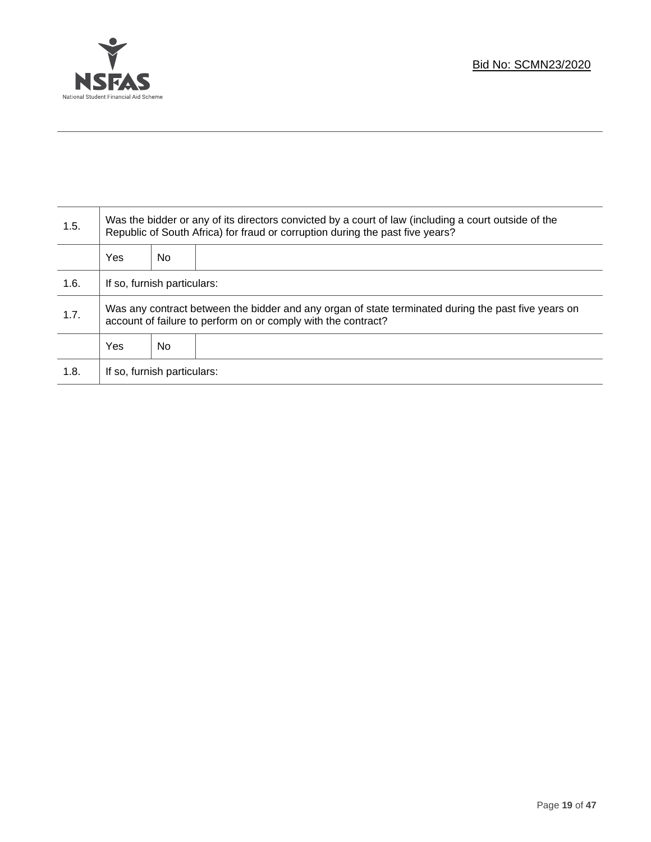

Τ

| 1.5. | Was the bidder or any of its directors convicted by a court of law (including a court outside of the<br>Republic of South Africa) for fraud or corruption during the past five years? |    |  |  |
|------|---------------------------------------------------------------------------------------------------------------------------------------------------------------------------------------|----|--|--|
|      | Yes                                                                                                                                                                                   | No |  |  |
| 1.6. | If so, furnish particulars:                                                                                                                                                           |    |  |  |
| 1.7. | Was any contract between the bidder and any organ of state terminated during the past five years on<br>account of failure to perform on or comply with the contract?                  |    |  |  |
|      | Yes                                                                                                                                                                                   | No |  |  |
| 1.8. | If so, furnish particulars:                                                                                                                                                           |    |  |  |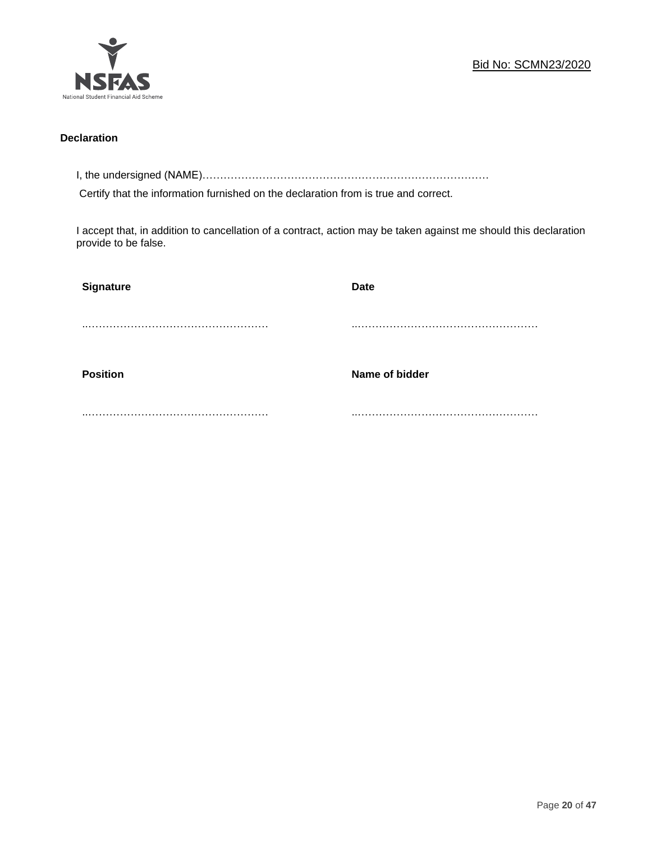

# **Declaration**

I, the undersigned (NAME)………………………………………………………………………

Certify that the information furnished on the declaration from is true and correct.

I accept that, in addition to cancellation of a contract, action may be taken against me should this declaration provide to be false.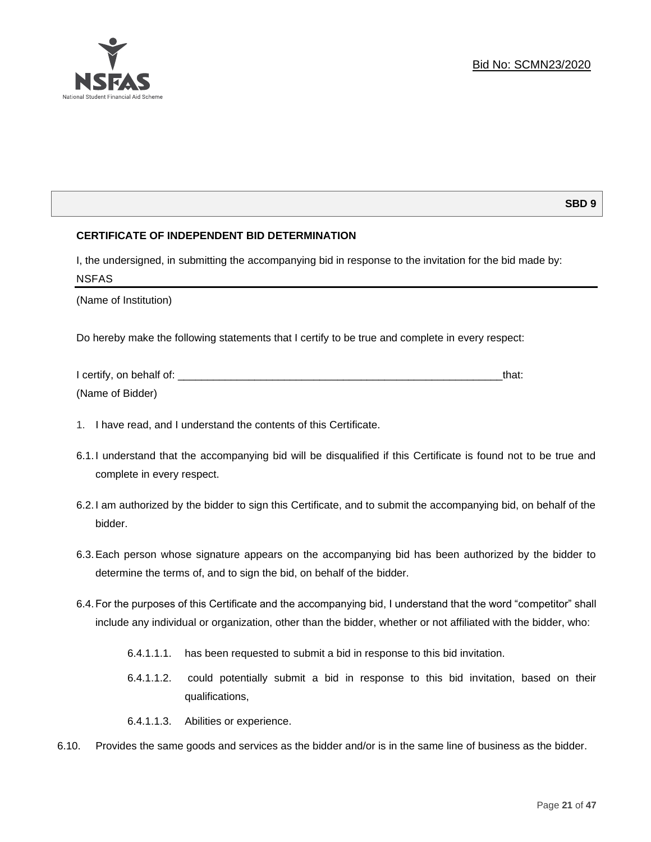# **SBD 9**

# **CERTIFICATE OF INDEPENDENT BID DETERMINATION**

I, the undersigned, in submitting the accompanying bid in response to the invitation for the bid made by: NSFAS

(Name of Institution)

Do hereby make the following statements that I certify to be true and complete in every respect:

| I certify, on behalf of: |  |
|--------------------------|--|
| (Name of Bidder)         |  |

- 1. I have read, and I understand the contents of this Certificate.
- 6.1.I understand that the accompanying bid will be disqualified if this Certificate is found not to be true and complete in every respect.
- 6.2.I am authorized by the bidder to sign this Certificate, and to submit the accompanying bid, on behalf of the bidder.
- 6.3.Each person whose signature appears on the accompanying bid has been authorized by the bidder to determine the terms of, and to sign the bid, on behalf of the bidder.
- 6.4.For the purposes of this Certificate and the accompanying bid, I understand that the word "competitor" shall include any individual or organization, other than the bidder, whether or not affiliated with the bidder, who:
	- 6.4.1.1.1. has been requested to submit a bid in response to this bid invitation.
	- 6.4.1.1.2. could potentially submit a bid in response to this bid invitation, based on their qualifications,
	- 6.4.1.1.3. Abilities or experience.
- 6.10. Provides the same goods and services as the bidder and/or is in the same line of business as the bidder.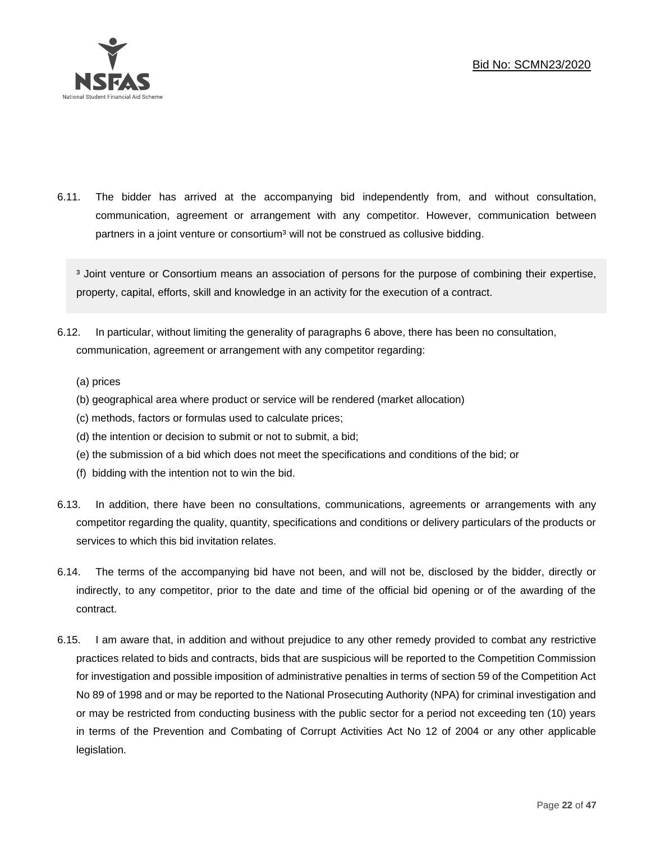

6.11. The bidder has arrived at the accompanying bid independently from, and without consultation, communication, agreement or arrangement with any competitor. However, communication between partners in a joint venture or consortium<sup>3</sup> will not be construed as collusive bidding.

<sup>3</sup> Joint venture or Consortium means an association of persons for the purpose of combining their expertise, property, capital, efforts, skill and knowledge in an activity for the execution of a contract.

- 6.12. In particular, without limiting the generality of paragraphs 6 above, there has been no consultation, communication, agreement or arrangement with any competitor regarding:
	- (a) prices
	- (b) geographical area where product or service will be rendered (market allocation)
	- (c) methods, factors or formulas used to calculate prices;
	- (d) the intention or decision to submit or not to submit, a bid;
	- (e) the submission of a bid which does not meet the specifications and conditions of the bid; or
	- (f) bidding with the intention not to win the bid.
- 6.13. In addition, there have been no consultations, communications, agreements or arrangements with any competitor regarding the quality, quantity, specifications and conditions or delivery particulars of the products or services to which this bid invitation relates.
- 6.14. The terms of the accompanying bid have not been, and will not be, disclosed by the bidder, directly or indirectly, to any competitor, prior to the date and time of the official bid opening or of the awarding of the contract.
- 6.15. I am aware that, in addition and without prejudice to any other remedy provided to combat any restrictive practices related to bids and contracts, bids that are suspicious will be reported to the Competition Commission for investigation and possible imposition of administrative penalties in terms of section 59 of the Competition Act No 89 of 1998 and or may be reported to the National Prosecuting Authority (NPA) for criminal investigation and or may be restricted from conducting business with the public sector for a period not exceeding ten (10) years in terms of the Prevention and Combating of Corrupt Activities Act No 12 of 2004 or any other applicable legislation.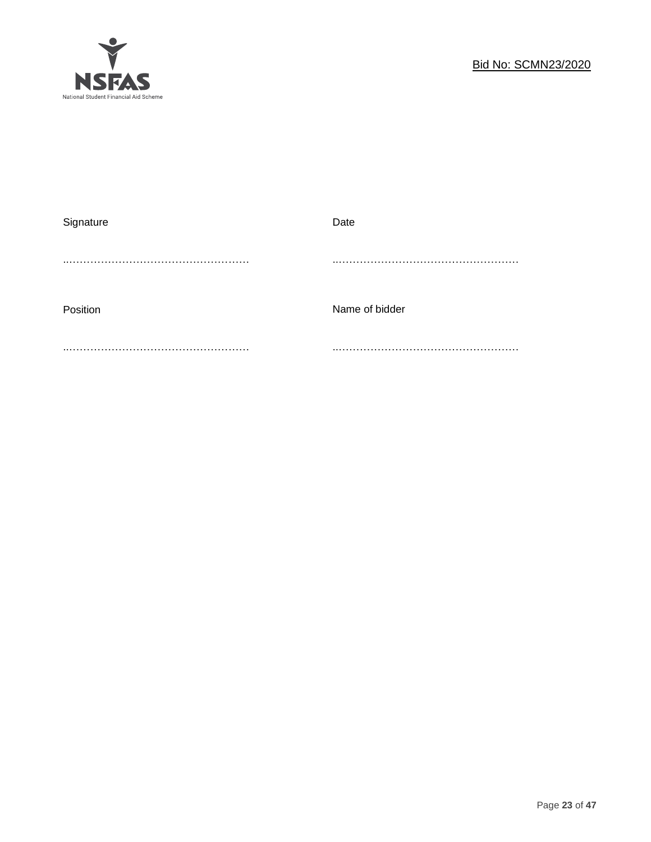

| Signature | Date           |
|-----------|----------------|
|           |                |
|           |                |
|           |                |
|           | Name of bidder |
| Position  |                |
|           |                |
|           |                |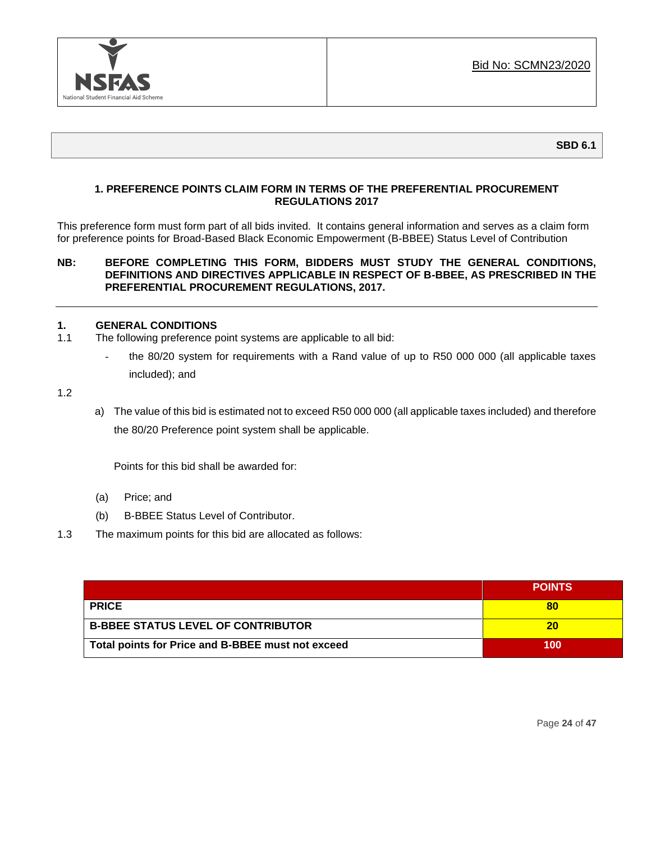

# **1. PREFERENCE POINTS CLAIM FORM IN TERMS OF THE PREFERENTIAL PROCUREMENT REGULATIONS 2017**

This preference form must form part of all bids invited. It contains general information and serves as a claim form for preference points for Broad-Based Black Economic Empowerment (B-BBEE) Status Level of Contribution

# **NB: BEFORE COMPLETING THIS FORM, BIDDERS MUST STUDY THE GENERAL CONDITIONS, DEFINITIONS AND DIRECTIVES APPLICABLE IN RESPECT OF B-BBEE, AS PRESCRIBED IN THE PREFERENTIAL PROCUREMENT REGULATIONS, 2017.**

# **1. GENERAL CONDITIONS**

- 1.1 The following preference point systems are applicable to all bid:
	- the 80/20 system for requirements with a Rand value of up to R50 000 000 (all applicable taxes included); and

1.2

a) The value of this bid is estimated not to exceed R50 000 000 (all applicable taxes included) and therefore the 80/20 Preference point system shall be applicable.

Points for this bid shall be awarded for:

- (a) Price; and
- (b) B-BBEE Status Level of Contributor.
- 1.3 The maximum points for this bid are allocated as follows:

|                                                   | <b>POINTS</b> |
|---------------------------------------------------|---------------|
| <b>PRICE</b>                                      | 80            |
| <b>B-BBEE STATUS LEVEL OF CONTRIBUTOR</b>         | 20            |
| Total points for Price and B-BBEE must not exceed | 100           |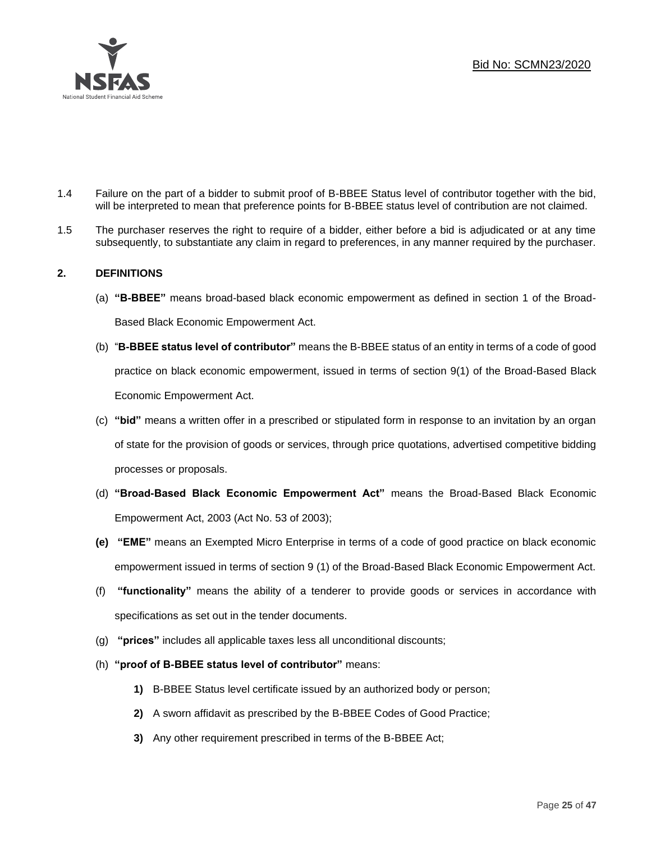

- 1.4 Failure on the part of a bidder to submit proof of B-BBEE Status level of contributor together with the bid, will be interpreted to mean that preference points for B-BBEE status level of contribution are not claimed.
- 1.5 The purchaser reserves the right to require of a bidder, either before a bid is adjudicated or at any time subsequently, to substantiate any claim in regard to preferences, in any manner required by the purchaser.

# **2. DEFINITIONS**

- (a) **"B-BBEE"** means broad-based black economic empowerment as defined in section 1 of the Broad-Based Black Economic Empowerment Act.
- (b) "**B-BBEE status level of contributor"** means the B-BBEE status of an entity in terms of a code of good practice on black economic empowerment, issued in terms of section 9(1) of the Broad-Based Black Economic Empowerment Act.
- (c) **"bid"** means a written offer in a prescribed or stipulated form in response to an invitation by an organ of state for the provision of goods or services, through price quotations, advertised competitive bidding processes or proposals.
- (d) **"Broad-Based Black Economic Empowerment Act"** means the Broad-Based Black Economic Empowerment Act, 2003 (Act No. 53 of 2003);
- **(e) "EME"** means an Exempted Micro Enterprise in terms of a code of good practice on black economic empowerment issued in terms of section 9 (1) of the Broad-Based Black Economic Empowerment Act.
- (f) **"functionality"** means the ability of a tenderer to provide goods or services in accordance with specifications as set out in the tender documents.
- (g) **"prices"** includes all applicable taxes less all unconditional discounts;
- (h) **"proof of B-BBEE status level of contributor"** means:
	- **1)** B-BBEE Status level certificate issued by an authorized body or person;
	- **2)** A sworn affidavit as prescribed by the B-BBEE Codes of Good Practice;
	- **3)** Any other requirement prescribed in terms of the B-BBEE Act;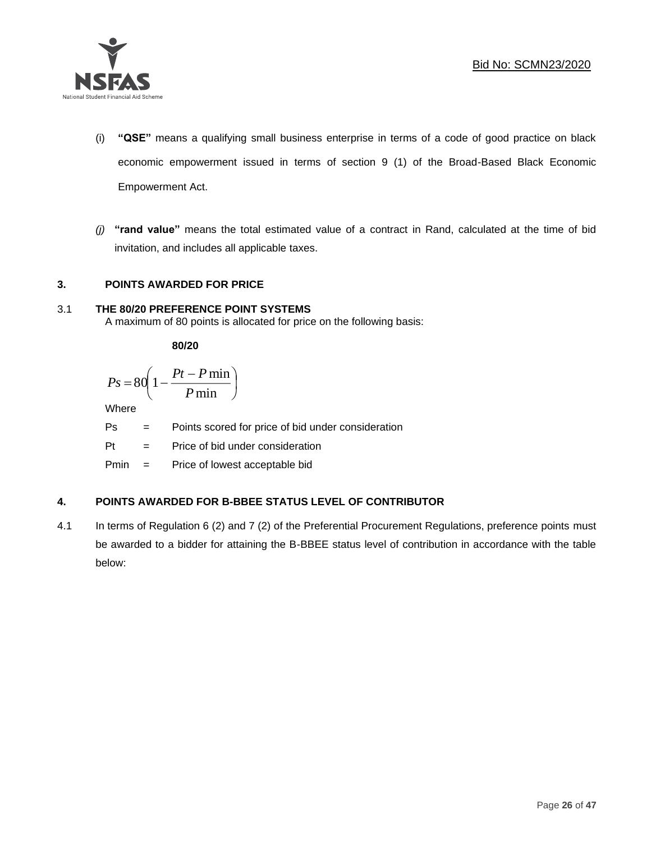

- (i) **"QSE"** means a qualifying small business enterprise in terms of a code of good practice on black economic empowerment issued in terms of section 9 (1) of the Broad-Based Black Economic Empowerment Act.
- *(j)* **"rand value"** means the total estimated value of a contract in Rand, calculated at the time of bid invitation, and includes all applicable taxes.

# **3. POINTS AWARDED FOR PRICE**

# 3.1 **THE 80/20 PREFERENCE POINT SYSTEMS**

A maximum of 80 points is allocated for price on the following basis:

**80/20**

$$
Ps = 80 \left( 1 - \frac{Pt - P \min}{P \min} \right)
$$

Where

Ps = Points scored for price of bid under consideration

l

Pt = Price of bid under consideration

Pmin = Price of lowest acceptable bid

# **4. POINTS AWARDED FOR B-BBEE STATUS LEVEL OF CONTRIBUTOR**

4.1 In terms of Regulation 6 (2) and 7 (2) of the Preferential Procurement Regulations, preference points must be awarded to a bidder for attaining the B-BBEE status level of contribution in accordance with the table below: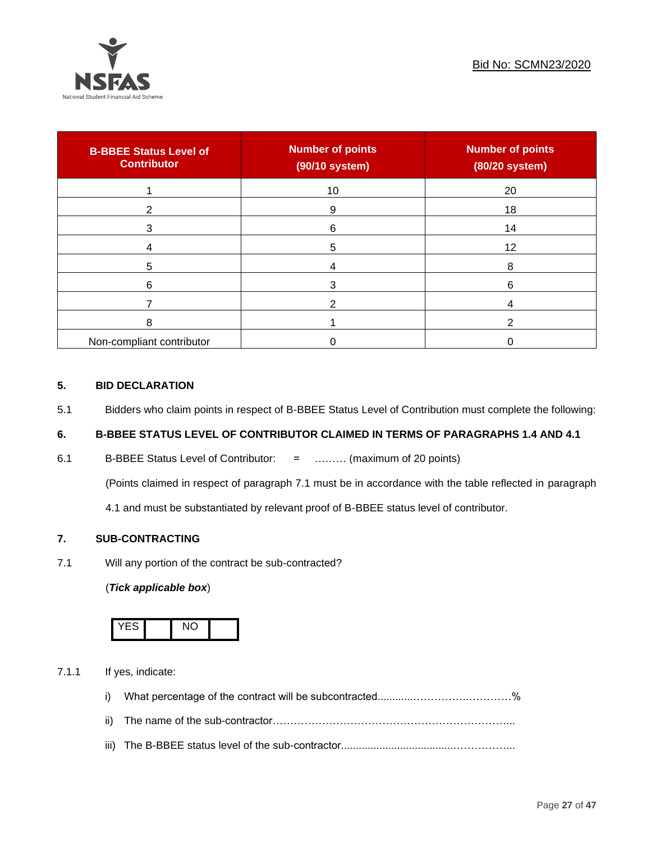

| <b>B-BBEE Status Level of</b><br><b>Contributor</b> | <b>Number of points</b><br>(90/10 system) | <b>Number of points</b><br>(80/20 system) |
|-----------------------------------------------------|-------------------------------------------|-------------------------------------------|
|                                                     | 10                                        | 20                                        |
| 2                                                   | 9                                         | 18                                        |
| 3                                                   | 6                                         | 14                                        |
|                                                     | 5                                         | 12                                        |
| 5                                                   |                                           | 8                                         |
| 6                                                   | 3                                         | 6                                         |
|                                                     |                                           |                                           |
| 8                                                   |                                           |                                           |
| Non-compliant contributor                           |                                           |                                           |

# **5. BID DECLARATION**

5.1 Bidders who claim points in respect of B-BBEE Status Level of Contribution must complete the following:

# **6. B-BBEE STATUS LEVEL OF CONTRIBUTOR CLAIMED IN TERMS OF PARAGRAPHS 1.4 AND 4.1**

6.1 B-BBEE Status Level of Contributor: = ……… (maximum of 20 points)

(Points claimed in respect of paragraph 7.1 must be in accordance with the table reflected in paragraph

4.1 and must be substantiated by relevant proof of B-BBEE status level of contributor.

# **7. SUB-CONTRACTING**

7.1 Will any portion of the contract be sub-contracted?

# (*Tick applicable box*)



7.1.1 If yes, indicate:

- i) What percentage of the contract will be subcontracted............…………….…………%
- ii) The name of the sub-contractor…………………………………………………………...
- iii) The B-BBEE status level of the sub-contractor......................................……………...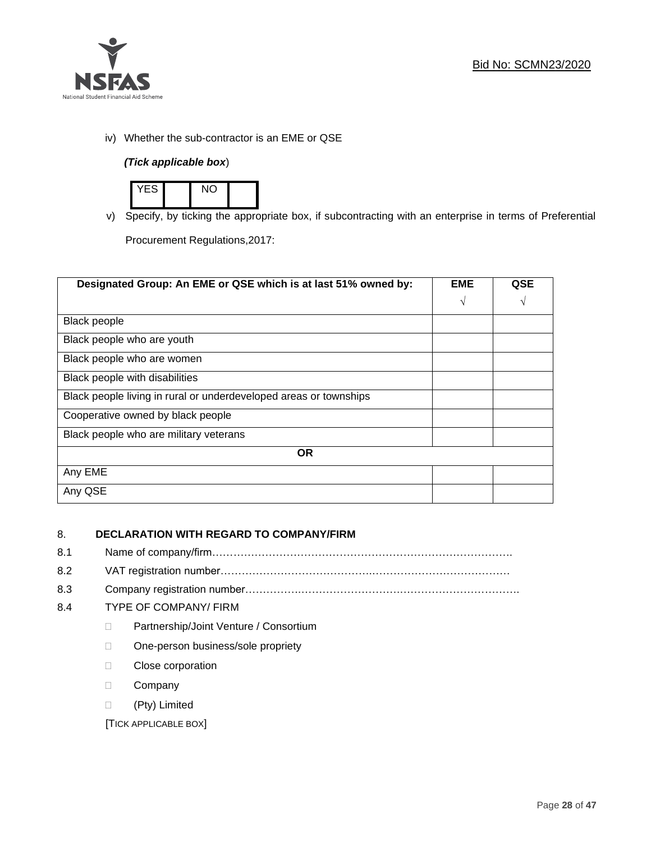

iv) Whether the sub-contractor is an EME or QSE

# *(Tick applicable box*)



v) Specify, by ticking the appropriate box, if subcontracting with an enterprise in terms of Preferential

Procurement Regulations,2017:

| Designated Group: An EME or QSE which is at last 51% owned by:    | <b>EME</b> | <b>QSE</b> |  |  |
|-------------------------------------------------------------------|------------|------------|--|--|
|                                                                   | $\sqrt{ }$ | V          |  |  |
| <b>Black people</b>                                               |            |            |  |  |
| Black people who are youth                                        |            |            |  |  |
| Black people who are women                                        |            |            |  |  |
| Black people with disabilities                                    |            |            |  |  |
| Black people living in rural or underdeveloped areas or townships |            |            |  |  |
| Cooperative owned by black people                                 |            |            |  |  |
| Black people who are military veterans                            |            |            |  |  |
| <b>OR</b>                                                         |            |            |  |  |
| Any EME                                                           |            |            |  |  |
| Any QSE                                                           |            |            |  |  |

# 8. **DECLARATION WITH REGARD TO COMPANY/FIRM**

- 8.1 Name of company/firm………………………………………………………………………….
- 8.2 VAT registration number…………………………………….…………………………………
- 8.3 Company registration number…………….……………………….…………………………….

# 8.4 TYPE OF COMPANY/ FIRM

- D Partnership/Joint Venture / Consortium
- □ One-person business/sole propriety
- D Close corporation
- D Company
- (Pty) Limited

[TICK APPLICABLE BOX]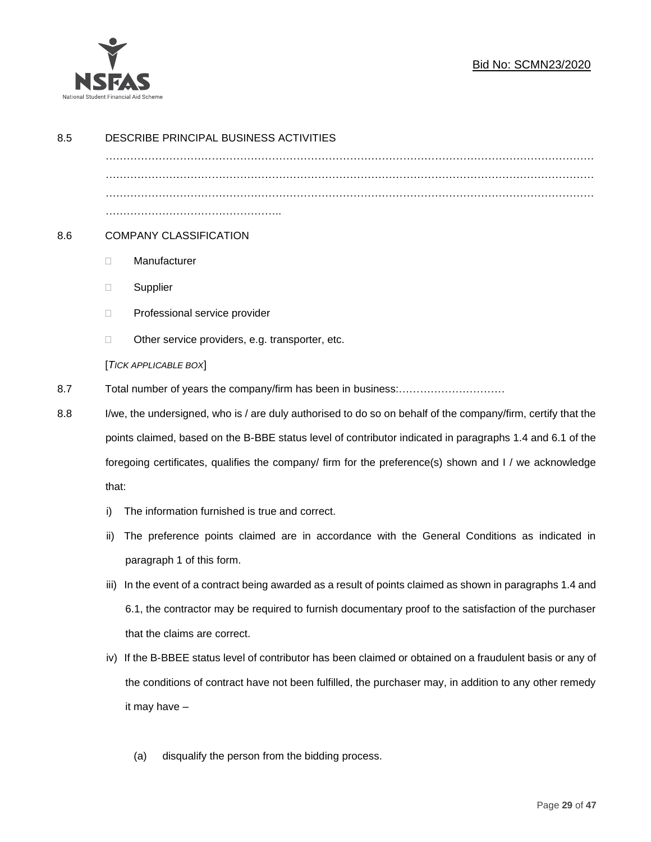

| 8.5 | DESCRIBE PRINCIPAL BUSINESS ACTIVITIES                                                                                                                                                                              |                                                                                                            |  |  |
|-----|---------------------------------------------------------------------------------------------------------------------------------------------------------------------------------------------------------------------|------------------------------------------------------------------------------------------------------------|--|--|
|     |                                                                                                                                                                                                                     |                                                                                                            |  |  |
|     |                                                                                                                                                                                                                     |                                                                                                            |  |  |
| 8.6 | <b>COMPANY CLASSIFICATION</b>                                                                                                                                                                                       |                                                                                                            |  |  |
|     | $\Box$                                                                                                                                                                                                              | Manufacturer                                                                                               |  |  |
|     | Ш                                                                                                                                                                                                                   | Supplier                                                                                                   |  |  |
|     | □                                                                                                                                                                                                                   | Professional service provider                                                                              |  |  |
|     | $\Box$                                                                                                                                                                                                              | Other service providers, e.g. transporter, etc.                                                            |  |  |
|     |                                                                                                                                                                                                                     | [TICK APPLICABLE BOX]                                                                                      |  |  |
| 8.7 |                                                                                                                                                                                                                     |                                                                                                            |  |  |
| 8.8 | I/we, the undersigned, who is / are duly authorised to do so on behalf of the company/firm, certify that the                                                                                                        |                                                                                                            |  |  |
|     | points claimed, based on the B-BBE status level of contributor indicated in paragraphs 1.4 and 6.1 of the<br>foregoing certificates, qualifies the company/ firm for the preference(s) shown and I / we acknowledge |                                                                                                            |  |  |
|     |                                                                                                                                                                                                                     |                                                                                                            |  |  |
|     | that:                                                                                                                                                                                                               |                                                                                                            |  |  |
|     | i)                                                                                                                                                                                                                  | The information furnished is true and correct.                                                             |  |  |
|     | ii)                                                                                                                                                                                                                 | The preference points claimed are in accordance with the General Conditions as indicated in                |  |  |
|     |                                                                                                                                                                                                                     | paragraph 1 of this form.                                                                                  |  |  |
|     | iii)                                                                                                                                                                                                                | In the event of a contract being awarded as a result of points claimed as shown in paragraphs 1.4 and      |  |  |
|     |                                                                                                                                                                                                                     | 6.1, the contractor may be required to furnish documentary proof to the satisfaction of the purchaser      |  |  |
|     |                                                                                                                                                                                                                     | that the claims are correct.                                                                               |  |  |
|     |                                                                                                                                                                                                                     | iv) If the B-BBEE status level of contributor has been claimed or obtained on a fraudulent basis or any of |  |  |
|     |                                                                                                                                                                                                                     | the conditions of contract have not been fulfilled, the purchaser may, in addition to any other remedy     |  |  |
|     |                                                                                                                                                                                                                     | it may have -                                                                                              |  |  |
|     |                                                                                                                                                                                                                     |                                                                                                            |  |  |

(a) disqualify the person from the bidding process.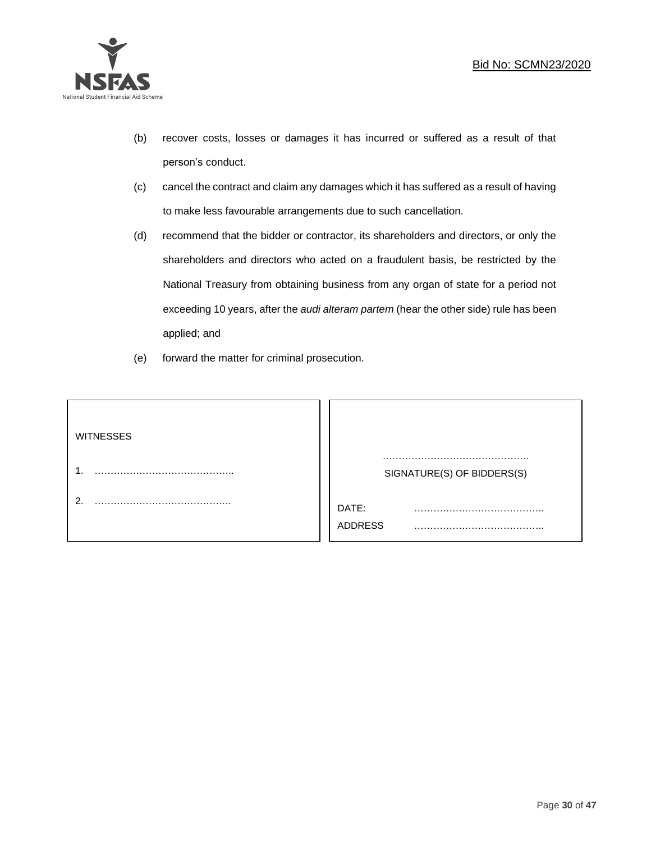

- (b) recover costs, losses or damages it has incurred or suffered as a result of that person's conduct.
- (c) cancel the contract and claim any damages which it has suffered as a result of having to make less favourable arrangements due to such cancellation.
- (d) recommend that the bidder or contractor, its shareholders and directors, or only the shareholders and directors who acted on a fraudulent basis, be restricted by the National Treasury from obtaining business from any organ of state for a period not exceeding 10 years, after the *audi alteram partem* (hear the other side) rule has been applied; and
- (e) forward the matter for criminal prosecution.

| <b>WITNESSES</b> |                            |  |
|------------------|----------------------------|--|
|                  | SIGNATURE(S) OF BIDDERS(S) |  |
|                  | DATE:<br>.<br>ADDRESS      |  |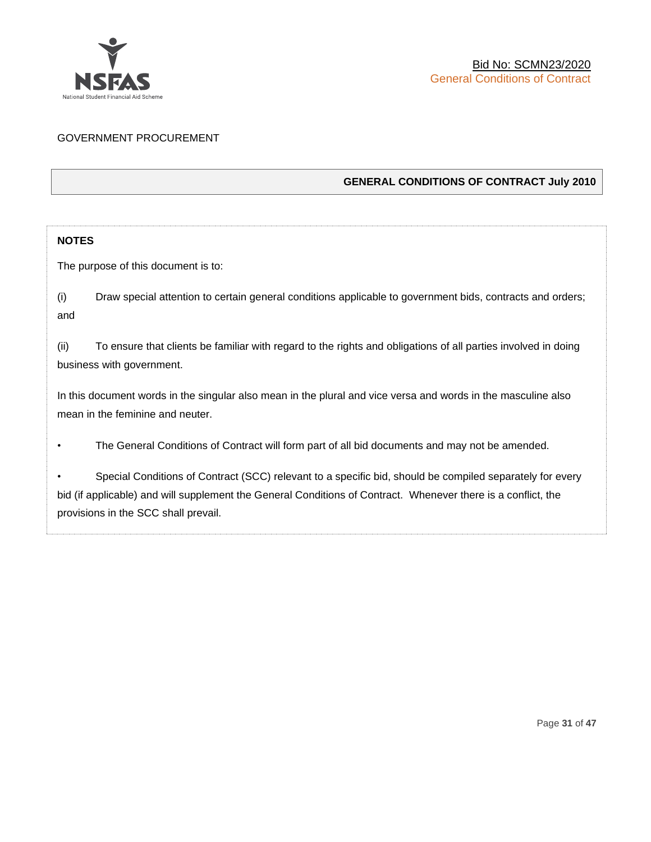

# GOVERNMENT PROCUREMENT

# **GENERAL CONDITIONS OF CONTRACT July 2010**

# **NOTES**

The purpose of this document is to:

(i) Draw special attention to certain general conditions applicable to government bids, contracts and orders; and

(ii) To ensure that clients be familiar with regard to the rights and obligations of all parties involved in doing business with government.

In this document words in the singular also mean in the plural and vice versa and words in the masculine also mean in the feminine and neuter.

• The General Conditions of Contract will form part of all bid documents and may not be amended.

Special Conditions of Contract (SCC) relevant to a specific bid, should be compiled separately for every bid (if applicable) and will supplement the General Conditions of Contract. Whenever there is a conflict, the provisions in the SCC shall prevail.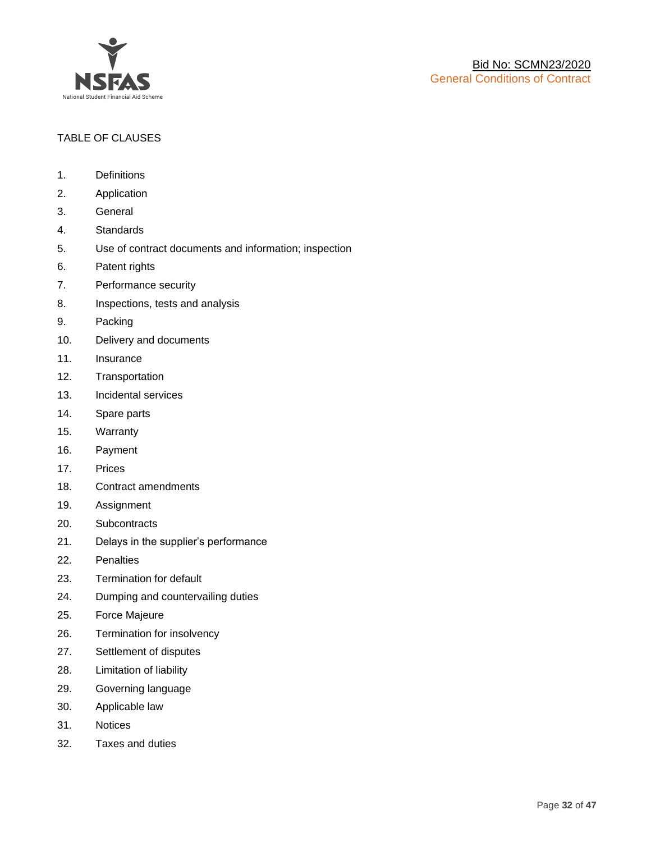

# TABLE OF CLAUSES

- 1. Definitions
- 2. Application
- 3. General
- 4. Standards
- 5. Use of contract documents and information; inspection
- 6. Patent rights
- 7. Performance security
- 8. Inspections, tests and analysis
- 9. Packing
- 10. Delivery and documents
- 11. Insurance
- 12. Transportation
- 13. Incidental services
- 14. Spare parts
- 15. Warranty
- 16. Payment
- 17. Prices
- 18. Contract amendments
- 19. Assignment
- 20. Subcontracts
- 21. Delays in the supplier's performance
- 22. Penalties
- 23. Termination for default
- 24. Dumping and countervailing duties
- 25. Force Majeure
- 26. Termination for insolvency
- 27. Settlement of disputes
- 28. Limitation of liability
- 29. Governing language
- 30. Applicable law
- 31. Notices
- 32. Taxes and duties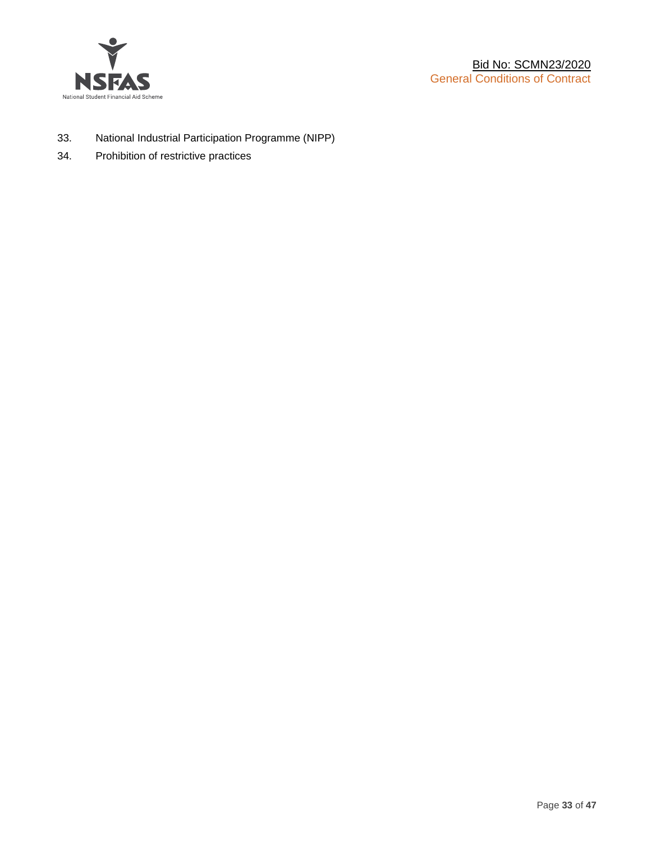

- 33. National Industrial Participation Programme (NIPP)
- 34. Prohibition of restrictive practices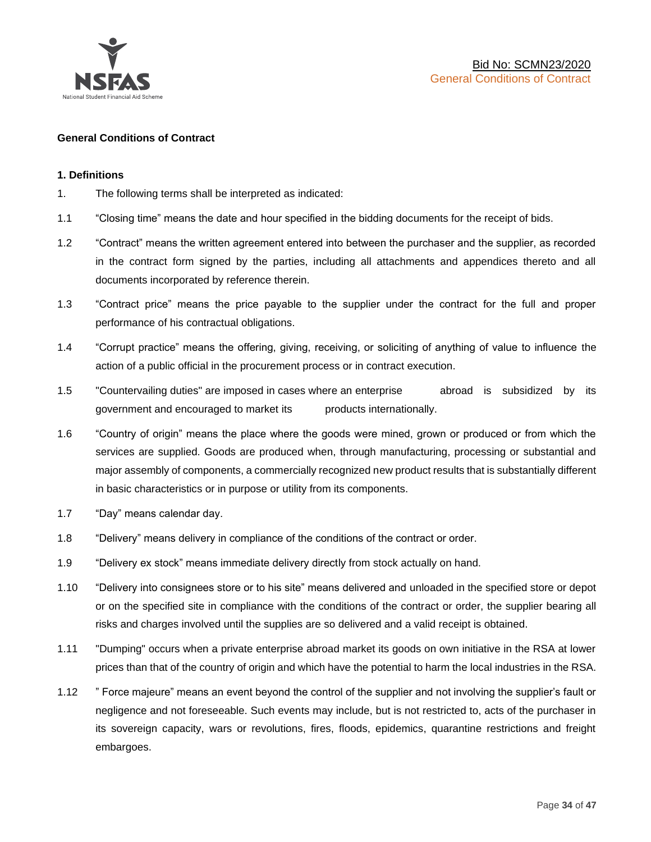

#### **General Conditions of Contract**

#### **1. Definitions**

- 1. The following terms shall be interpreted as indicated:
- 1.1 "Closing time" means the date and hour specified in the bidding documents for the receipt of bids.
- 1.2 "Contract" means the written agreement entered into between the purchaser and the supplier, as recorded in the contract form signed by the parties, including all attachments and appendices thereto and all documents incorporated by reference therein.
- 1.3 "Contract price" means the price payable to the supplier under the contract for the full and proper performance of his contractual obligations.
- 1.4 "Corrupt practice" means the offering, giving, receiving, or soliciting of anything of value to influence the action of a public official in the procurement process or in contract execution.
- 1.5 "Countervailing duties" are imposed in cases where an enterprise abroad is subsidized by its government and encouraged to market its products internationally.
- 1.6 "Country of origin" means the place where the goods were mined, grown or produced or from which the services are supplied. Goods are produced when, through manufacturing, processing or substantial and major assembly of components, a commercially recognized new product results that is substantially different in basic characteristics or in purpose or utility from its components.
- 1.7 "Day" means calendar day.
- 1.8 "Delivery" means delivery in compliance of the conditions of the contract or order.
- 1.9 "Delivery ex stock" means immediate delivery directly from stock actually on hand.
- 1.10 "Delivery into consignees store or to his site" means delivered and unloaded in the specified store or depot or on the specified site in compliance with the conditions of the contract or order, the supplier bearing all risks and charges involved until the supplies are so delivered and a valid receipt is obtained.
- 1.11 "Dumping" occurs when a private enterprise abroad market its goods on own initiative in the RSA at lower prices than that of the country of origin and which have the potential to harm the local industries in the RSA.
- 1.12 " Force majeure" means an event beyond the control of the supplier and not involving the supplier's fault or negligence and not foreseeable. Such events may include, but is not restricted to, acts of the purchaser in its sovereign capacity, wars or revolutions, fires, floods, epidemics, quarantine restrictions and freight embargoes.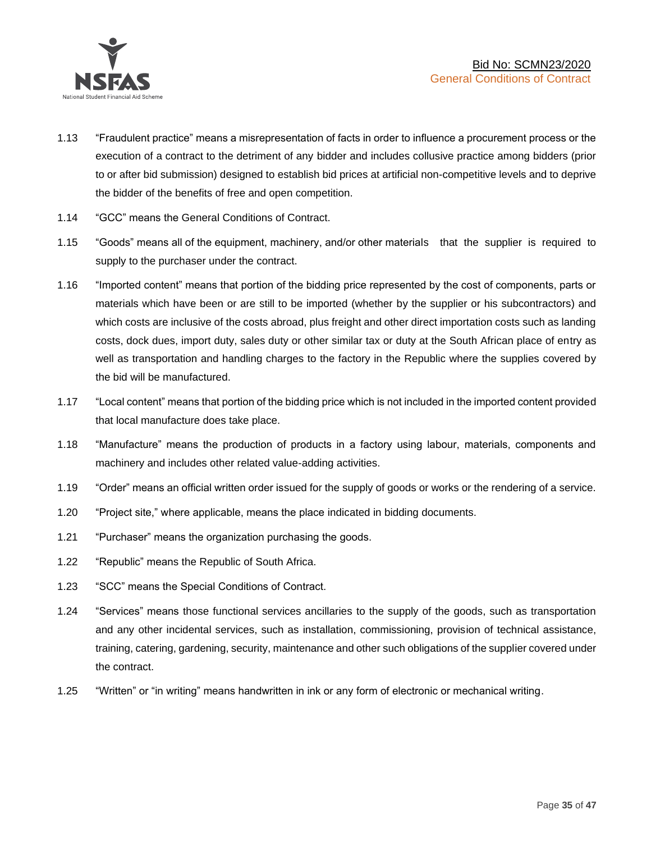

- 1.13 "Fraudulent practice" means a misrepresentation of facts in order to influence a procurement process or the execution of a contract to the detriment of any bidder and includes collusive practice among bidders (prior to or after bid submission) designed to establish bid prices at artificial non-competitive levels and to deprive the bidder of the benefits of free and open competition.
- 1.14 "GCC" means the General Conditions of Contract.
- 1.15 "Goods" means all of the equipment, machinery, and/or other materials that the supplier is required to supply to the purchaser under the contract.
- 1.16 "Imported content" means that portion of the bidding price represented by the cost of components, parts or materials which have been or are still to be imported (whether by the supplier or his subcontractors) and which costs are inclusive of the costs abroad, plus freight and other direct importation costs such as landing costs, dock dues, import duty, sales duty or other similar tax or duty at the South African place of entry as well as transportation and handling charges to the factory in the Republic where the supplies covered by the bid will be manufactured.
- 1.17 "Local content" means that portion of the bidding price which is not included in the imported content provided that local manufacture does take place.
- 1.18 "Manufacture" means the production of products in a factory using labour, materials, components and machinery and includes other related value-adding activities.
- 1.19 "Order" means an official written order issued for the supply of goods or works or the rendering of a service.
- 1.20 "Project site," where applicable, means the place indicated in bidding documents.
- 1.21 "Purchaser" means the organization purchasing the goods.
- 1.22 "Republic" means the Republic of South Africa.
- 1.23 "SCC" means the Special Conditions of Contract.
- 1.24 "Services" means those functional services ancillaries to the supply of the goods, such as transportation and any other incidental services, such as installation, commissioning, provision of technical assistance, training, catering, gardening, security, maintenance and other such obligations of the supplier covered under the contract.
- 1.25 "Written" or "in writing" means handwritten in ink or any form of electronic or mechanical writing.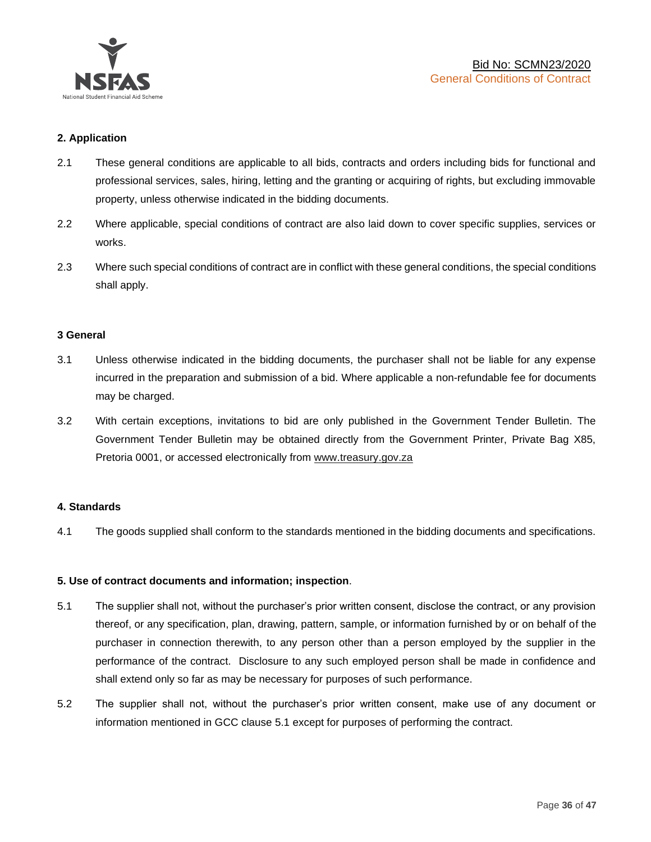

# **2. Application**

- 2.1 These general conditions are applicable to all bids, contracts and orders including bids for functional and professional services, sales, hiring, letting and the granting or acquiring of rights, but excluding immovable property, unless otherwise indicated in the bidding documents.
- 2.2 Where applicable, special conditions of contract are also laid down to cover specific supplies, services or works.
- 2.3 Where such special conditions of contract are in conflict with these general conditions, the special conditions shall apply.

#### **3 General**

- 3.1 Unless otherwise indicated in the bidding documents, the purchaser shall not be liable for any expense incurred in the preparation and submission of a bid. Where applicable a non-refundable fee for documents may be charged.
- 3.2 With certain exceptions, invitations to bid are only published in the Government Tender Bulletin. The Government Tender Bulletin may be obtained directly from the Government Printer, Private Bag X85, Pretoria 0001, or accessed electronically from [www.treasury.gov.za](http://www.treasury.gov.za/)

#### **4. Standards**

4.1 The goods supplied shall conform to the standards mentioned in the bidding documents and specifications.

#### **5. Use of contract documents and information; inspection**.

- 5.1 The supplier shall not, without the purchaser's prior written consent, disclose the contract, or any provision thereof, or any specification, plan, drawing, pattern, sample, or information furnished by or on behalf of the purchaser in connection therewith, to any person other than a person employed by the supplier in the performance of the contract. Disclosure to any such employed person shall be made in confidence and shall extend only so far as may be necessary for purposes of such performance.
- 5.2 The supplier shall not, without the purchaser's prior written consent, make use of any document or information mentioned in GCC clause 5.1 except for purposes of performing the contract.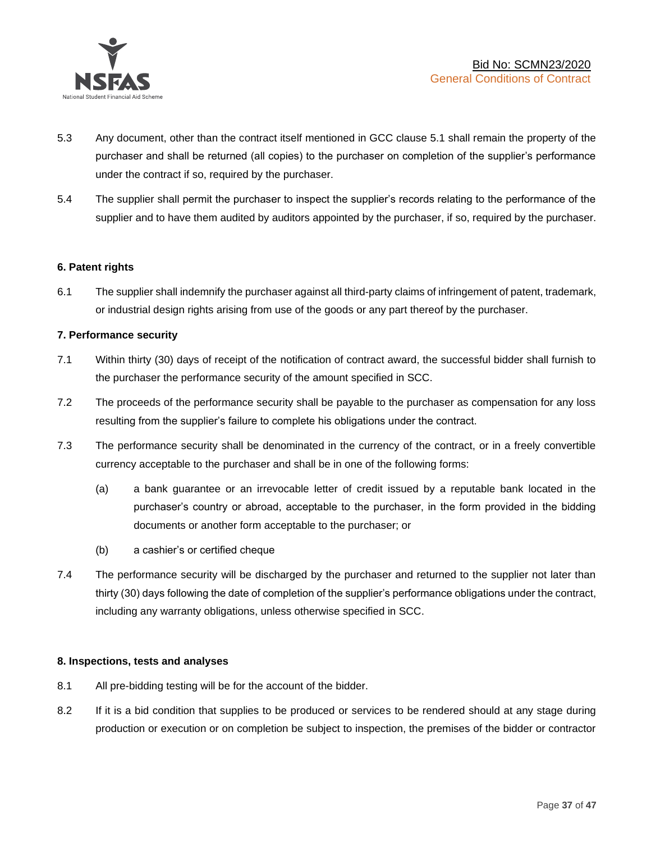

- 5.3 Any document, other than the contract itself mentioned in GCC clause 5.1 shall remain the property of the purchaser and shall be returned (all copies) to the purchaser on completion of the supplier's performance under the contract if so, required by the purchaser.
- 5.4 The supplier shall permit the purchaser to inspect the supplier's records relating to the performance of the supplier and to have them audited by auditors appointed by the purchaser, if so, required by the purchaser.

# **6. Patent rights**

6.1 The supplier shall indemnify the purchaser against all third-party claims of infringement of patent, trademark, or industrial design rights arising from use of the goods or any part thereof by the purchaser.

# **7. Performance security**

- 7.1 Within thirty (30) days of receipt of the notification of contract award, the successful bidder shall furnish to the purchaser the performance security of the amount specified in SCC.
- 7.2 The proceeds of the performance security shall be payable to the purchaser as compensation for any loss resulting from the supplier's failure to complete his obligations under the contract.
- 7.3 The performance security shall be denominated in the currency of the contract, or in a freely convertible currency acceptable to the purchaser and shall be in one of the following forms:
	- (a) a bank guarantee or an irrevocable letter of credit issued by a reputable bank located in the purchaser's country or abroad, acceptable to the purchaser, in the form provided in the bidding documents or another form acceptable to the purchaser; or
	- (b) a cashier's or certified cheque
- 7.4 The performance security will be discharged by the purchaser and returned to the supplier not later than thirty (30) days following the date of completion of the supplier's performance obligations under the contract, including any warranty obligations, unless otherwise specified in SCC.

#### **8. Inspections, tests and analyses**

- 8.1 All pre-bidding testing will be for the account of the bidder.
- 8.2 If it is a bid condition that supplies to be produced or services to be rendered should at any stage during production or execution or on completion be subject to inspection, the premises of the bidder or contractor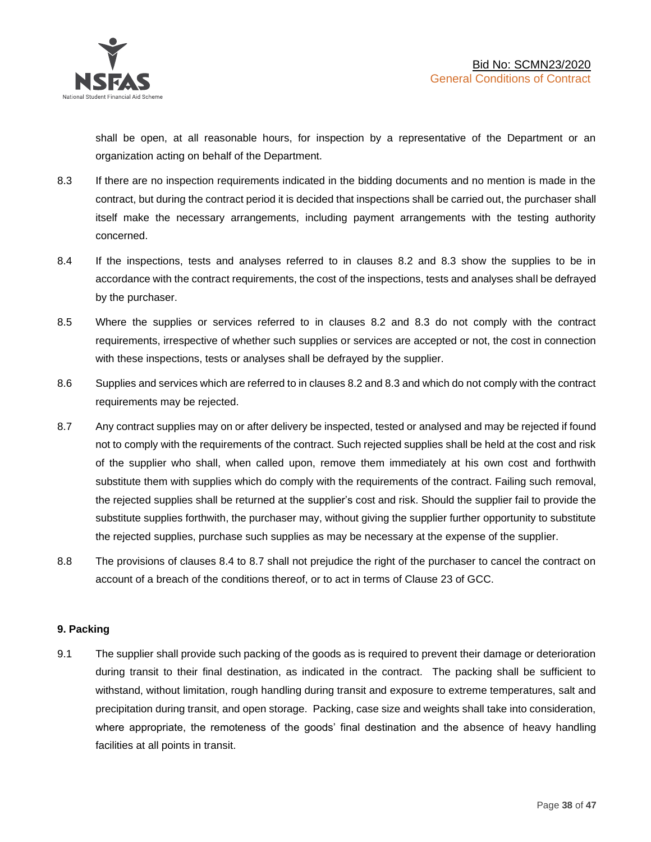shall be open, at all reasonable hours, for inspection by a representative of the Department or an organization acting on behalf of the Department.

- 8.3 If there are no inspection requirements indicated in the bidding documents and no mention is made in the contract, but during the contract period it is decided that inspections shall be carried out, the purchaser shall itself make the necessary arrangements, including payment arrangements with the testing authority concerned.
- 8.4 If the inspections, tests and analyses referred to in clauses 8.2 and 8.3 show the supplies to be in accordance with the contract requirements, the cost of the inspections, tests and analyses shall be defrayed by the purchaser.
- 8.5 Where the supplies or services referred to in clauses 8.2 and 8.3 do not comply with the contract requirements, irrespective of whether such supplies or services are accepted or not, the cost in connection with these inspections, tests or analyses shall be defrayed by the supplier.
- 8.6 Supplies and services which are referred to in clauses 8.2 and 8.3 and which do not comply with the contract requirements may be rejected.
- 8.7 Any contract supplies may on or after delivery be inspected, tested or analysed and may be rejected if found not to comply with the requirements of the contract. Such rejected supplies shall be held at the cost and risk of the supplier who shall, when called upon, remove them immediately at his own cost and forthwith substitute them with supplies which do comply with the requirements of the contract. Failing such removal, the rejected supplies shall be returned at the supplier's cost and risk. Should the supplier fail to provide the substitute supplies forthwith, the purchaser may, without giving the supplier further opportunity to substitute the rejected supplies, purchase such supplies as may be necessary at the expense of the supplier.
- 8.8 The provisions of clauses 8.4 to 8.7 shall not prejudice the right of the purchaser to cancel the contract on account of a breach of the conditions thereof, or to act in terms of Clause 23 of GCC.

# **9. Packing**

9.1 The supplier shall provide such packing of the goods as is required to prevent their damage or deterioration during transit to their final destination, as indicated in the contract. The packing shall be sufficient to withstand, without limitation, rough handling during transit and exposure to extreme temperatures, salt and precipitation during transit, and open storage. Packing, case size and weights shall take into consideration, where appropriate, the remoteness of the goods' final destination and the absence of heavy handling facilities at all points in transit.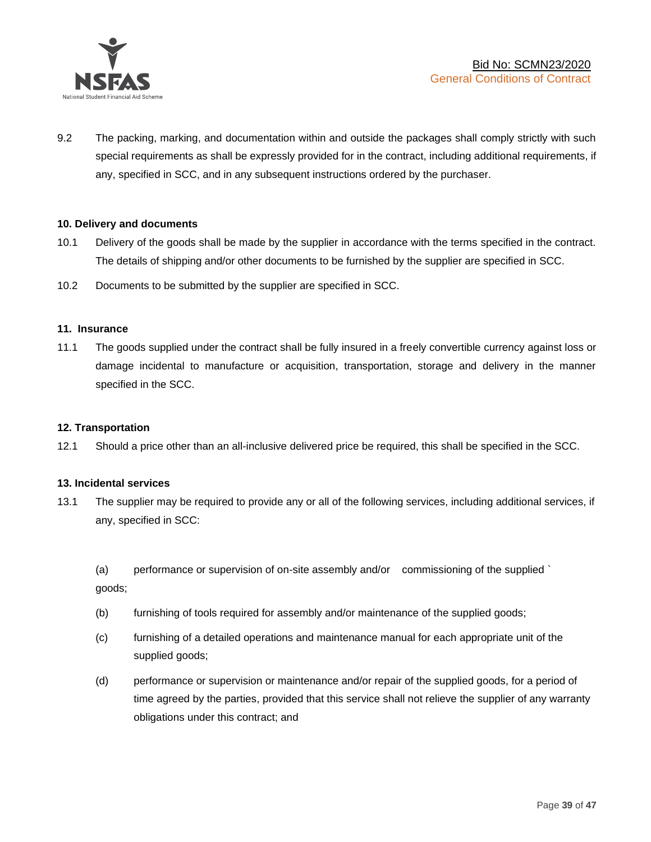

9.2 The packing, marking, and documentation within and outside the packages shall comply strictly with such special requirements as shall be expressly provided for in the contract, including additional requirements, if any, specified in SCC, and in any subsequent instructions ordered by the purchaser.

#### **10. Delivery and documents**

- 10.1 Delivery of the goods shall be made by the supplier in accordance with the terms specified in the contract. The details of shipping and/or other documents to be furnished by the supplier are specified in SCC.
- 10.2 Documents to be submitted by the supplier are specified in SCC.

#### **11. Insurance**

11.1 The goods supplied under the contract shall be fully insured in a freely convertible currency against loss or damage incidental to manufacture or acquisition, transportation, storage and delivery in the manner specified in the SCC.

#### **12. Transportation**

12.1 Should a price other than an all-inclusive delivered price be required, this shall be specified in the SCC.

#### **13. Incidental services**

13.1 The supplier may be required to provide any or all of the following services, including additional services, if any, specified in SCC:

(a) performance or supervision of on-site assembly and/or commissioning of the supplied ` goods;

- (b) furnishing of tools required for assembly and/or maintenance of the supplied goods;
- (c) furnishing of a detailed operations and maintenance manual for each appropriate unit of the supplied goods;
- (d) performance or supervision or maintenance and/or repair of the supplied goods, for a period of time agreed by the parties, provided that this service shall not relieve the supplier of any warranty obligations under this contract; and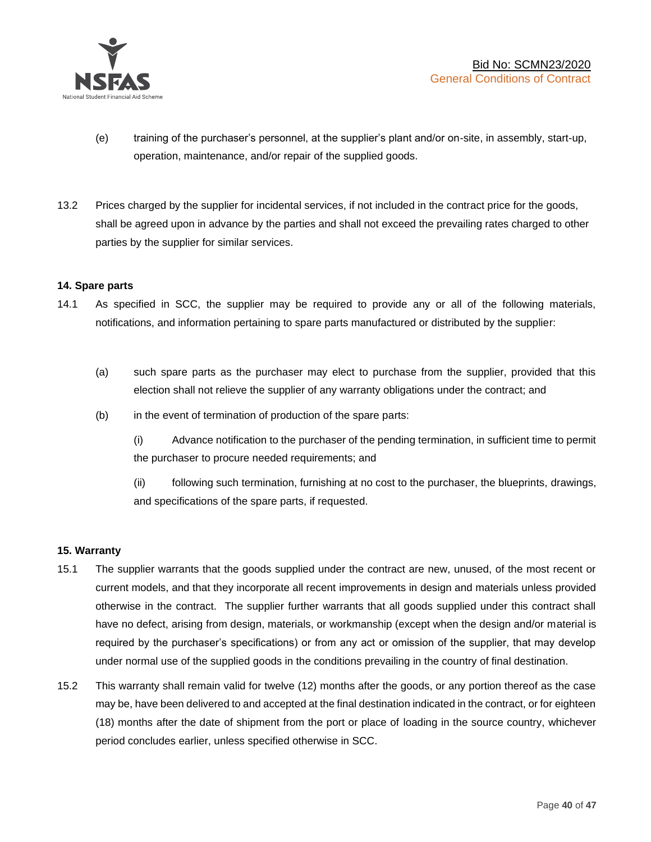

- (e) training of the purchaser's personnel, at the supplier's plant and/or on-site, in assembly, start-up, operation, maintenance, and/or repair of the supplied goods.
- 13.2 Prices charged by the supplier for incidental services, if not included in the contract price for the goods, shall be agreed upon in advance by the parties and shall not exceed the prevailing rates charged to other parties by the supplier for similar services.

# **14. Spare parts**

- 14.1 As specified in SCC, the supplier may be required to provide any or all of the following materials, notifications, and information pertaining to spare parts manufactured or distributed by the supplier:
	- (a) such spare parts as the purchaser may elect to purchase from the supplier, provided that this election shall not relieve the supplier of any warranty obligations under the contract; and
	- (b) in the event of termination of production of the spare parts:

(i) Advance notification to the purchaser of the pending termination, in sufficient time to permit the purchaser to procure needed requirements; and

(ii) following such termination, furnishing at no cost to the purchaser, the blueprints, drawings, and specifications of the spare parts, if requested.

#### **15. Warranty**

- 15.1 The supplier warrants that the goods supplied under the contract are new, unused, of the most recent or current models, and that they incorporate all recent improvements in design and materials unless provided otherwise in the contract. The supplier further warrants that all goods supplied under this contract shall have no defect, arising from design, materials, or workmanship (except when the design and/or material is required by the purchaser's specifications) or from any act or omission of the supplier, that may develop under normal use of the supplied goods in the conditions prevailing in the country of final destination.
- 15.2 This warranty shall remain valid for twelve (12) months after the goods, or any portion thereof as the case may be, have been delivered to and accepted at the final destination indicated in the contract, or for eighteen (18) months after the date of shipment from the port or place of loading in the source country, whichever period concludes earlier, unless specified otherwise in SCC.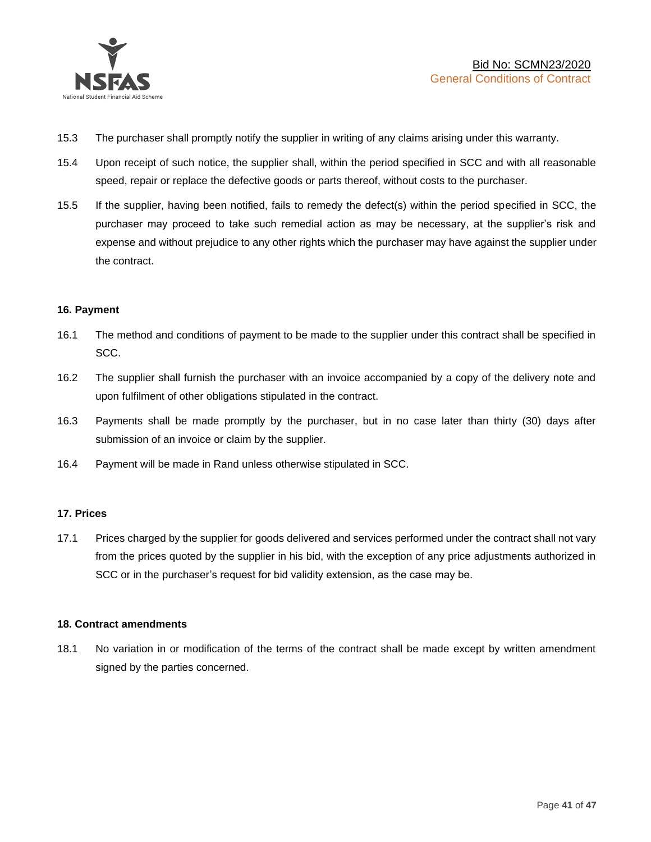

- 15.3 The purchaser shall promptly notify the supplier in writing of any claims arising under this warranty.
- 15.4 Upon receipt of such notice, the supplier shall, within the period specified in SCC and with all reasonable speed, repair or replace the defective goods or parts thereof, without costs to the purchaser.
- 15.5 If the supplier, having been notified, fails to remedy the defect(s) within the period specified in SCC, the purchaser may proceed to take such remedial action as may be necessary, at the supplier's risk and expense and without prejudice to any other rights which the purchaser may have against the supplier under the contract.

# **16. Payment**

- 16.1 The method and conditions of payment to be made to the supplier under this contract shall be specified in SCC.
- 16.2 The supplier shall furnish the purchaser with an invoice accompanied by a copy of the delivery note and upon fulfilment of other obligations stipulated in the contract.
- 16.3 Payments shall be made promptly by the purchaser, but in no case later than thirty (30) days after submission of an invoice or claim by the supplier.
- 16.4 Payment will be made in Rand unless otherwise stipulated in SCC.

#### **17. Prices**

17.1 Prices charged by the supplier for goods delivered and services performed under the contract shall not vary from the prices quoted by the supplier in his bid, with the exception of any price adjustments authorized in SCC or in the purchaser's request for bid validity extension, as the case may be.

#### **18. Contract amendments**

18.1 No variation in or modification of the terms of the contract shall be made except by written amendment signed by the parties concerned.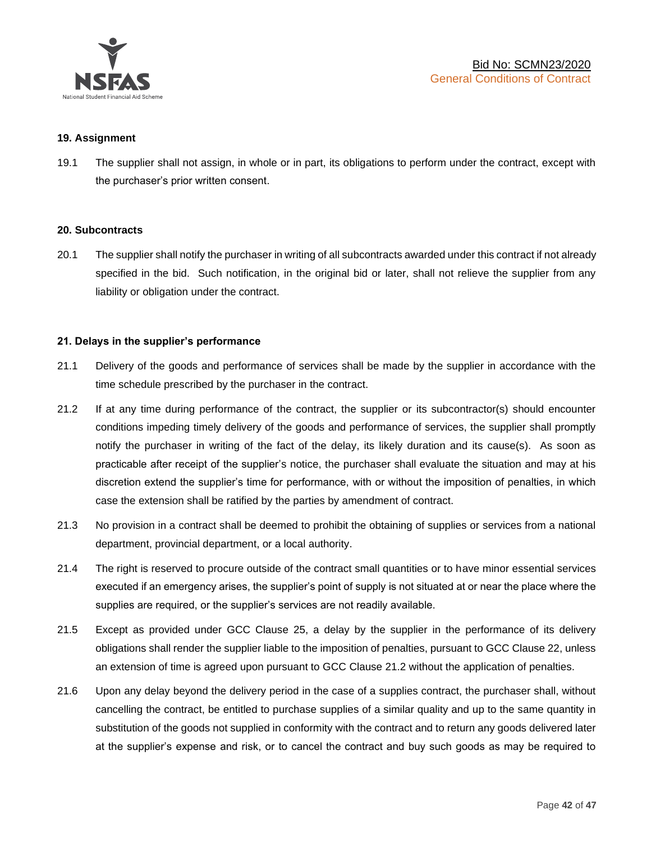

#### **19. Assignment**

19.1 The supplier shall not assign, in whole or in part, its obligations to perform under the contract, except with the purchaser's prior written consent.

#### **20. Subcontracts**

20.1 The supplier shall notify the purchaser in writing of all subcontracts awarded under this contract if not already specified in the bid. Such notification, in the original bid or later, shall not relieve the supplier from any liability or obligation under the contract.

# **21. Delays in the supplier's performance**

- 21.1 Delivery of the goods and performance of services shall be made by the supplier in accordance with the time schedule prescribed by the purchaser in the contract.
- 21.2 If at any time during performance of the contract, the supplier or its subcontractor(s) should encounter conditions impeding timely delivery of the goods and performance of services, the supplier shall promptly notify the purchaser in writing of the fact of the delay, its likely duration and its cause(s). As soon as practicable after receipt of the supplier's notice, the purchaser shall evaluate the situation and may at his discretion extend the supplier's time for performance, with or without the imposition of penalties, in which case the extension shall be ratified by the parties by amendment of contract.
- 21.3 No provision in a contract shall be deemed to prohibit the obtaining of supplies or services from a national department, provincial department, or a local authority.
- 21.4 The right is reserved to procure outside of the contract small quantities or to have minor essential services executed if an emergency arises, the supplier's point of supply is not situated at or near the place where the supplies are required, or the supplier's services are not readily available.
- 21.5 Except as provided under GCC Clause 25, a delay by the supplier in the performance of its delivery obligations shall render the supplier liable to the imposition of penalties, pursuant to GCC Clause 22, unless an extension of time is agreed upon pursuant to GCC Clause 21.2 without the application of penalties.
- 21.6 Upon any delay beyond the delivery period in the case of a supplies contract, the purchaser shall, without cancelling the contract, be entitled to purchase supplies of a similar quality and up to the same quantity in substitution of the goods not supplied in conformity with the contract and to return any goods delivered later at the supplier's expense and risk, or to cancel the contract and buy such goods as may be required to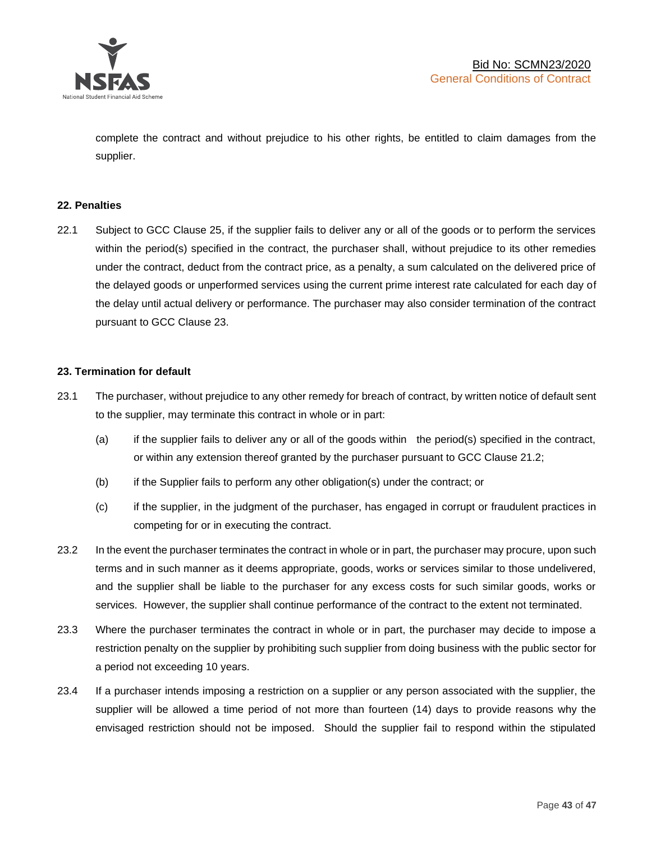

complete the contract and without prejudice to his other rights, be entitled to claim damages from the supplier.

#### **22. Penalties**

22.1 Subject to GCC Clause 25, if the supplier fails to deliver any or all of the goods or to perform the services within the period(s) specified in the contract, the purchaser shall, without prejudice to its other remedies under the contract, deduct from the contract price, as a penalty, a sum calculated on the delivered price of the delayed goods or unperformed services using the current prime interest rate calculated for each day of the delay until actual delivery or performance. The purchaser may also consider termination of the contract pursuant to GCC Clause 23.

# **23. Termination for default**

- 23.1 The purchaser, without prejudice to any other remedy for breach of contract, by written notice of default sent to the supplier, may terminate this contract in whole or in part:
	- (a) if the supplier fails to deliver any or all of the goods within the period(s) specified in the contract, or within any extension thereof granted by the purchaser pursuant to GCC Clause 21.2;
	- (b) if the Supplier fails to perform any other obligation(s) under the contract; or
	- (c) if the supplier, in the judgment of the purchaser, has engaged in corrupt or fraudulent practices in competing for or in executing the contract.
- 23.2 In the event the purchaser terminates the contract in whole or in part, the purchaser may procure, upon such terms and in such manner as it deems appropriate, goods, works or services similar to those undelivered, and the supplier shall be liable to the purchaser for any excess costs for such similar goods, works or services. However, the supplier shall continue performance of the contract to the extent not terminated.
- 23.3 Where the purchaser terminates the contract in whole or in part, the purchaser may decide to impose a restriction penalty on the supplier by prohibiting such supplier from doing business with the public sector for a period not exceeding 10 years.
- 23.4 If a purchaser intends imposing a restriction on a supplier or any person associated with the supplier, the supplier will be allowed a time period of not more than fourteen (14) days to provide reasons why the envisaged restriction should not be imposed. Should the supplier fail to respond within the stipulated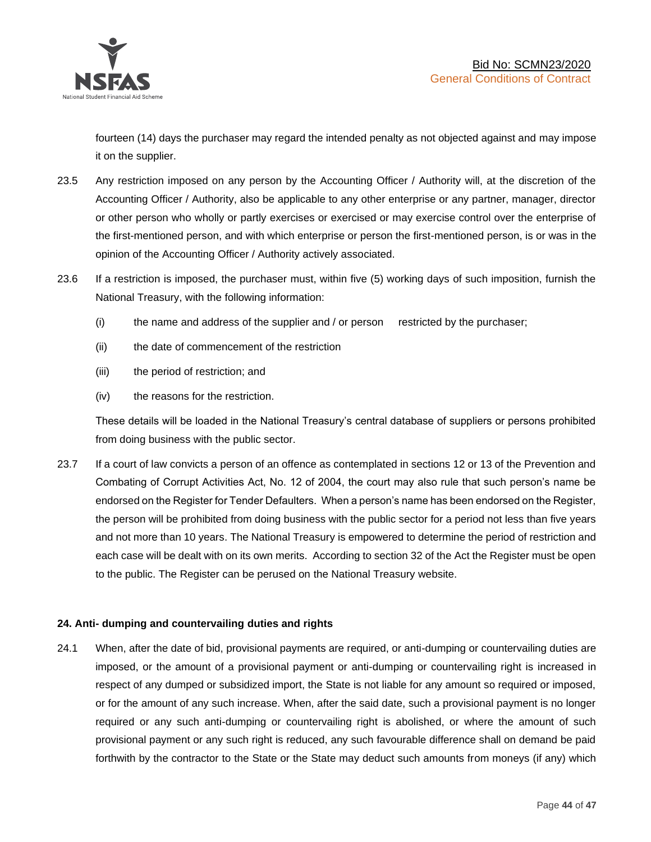

fourteen (14) days the purchaser may regard the intended penalty as not objected against and may impose it on the supplier.

- 23.5 Any restriction imposed on any person by the Accounting Officer / Authority will, at the discretion of the Accounting Officer / Authority, also be applicable to any other enterprise or any partner, manager, director or other person who wholly or partly exercises or exercised or may exercise control over the enterprise of the first-mentioned person, and with which enterprise or person the first-mentioned person, is or was in the opinion of the Accounting Officer / Authority actively associated.
- 23.6 If a restriction is imposed, the purchaser must, within five (5) working days of such imposition, furnish the National Treasury, with the following information:
	- (i) the name and address of the supplier and / or person restricted by the purchaser;
	- (ii) the date of commencement of the restriction
	- (iii) the period of restriction; and
	- (iv) the reasons for the restriction.

These details will be loaded in the National Treasury's central database of suppliers or persons prohibited from doing business with the public sector.

23.7 If a court of law convicts a person of an offence as contemplated in sections 12 or 13 of the Prevention and Combating of Corrupt Activities Act, No. 12 of 2004, the court may also rule that such person's name be endorsed on the Register for Tender Defaulters. When a person's name has been endorsed on the Register, the person will be prohibited from doing business with the public sector for a period not less than five years and not more than 10 years. The National Treasury is empowered to determine the period of restriction and each case will be dealt with on its own merits. According to section 32 of the Act the Register must be open to the public. The Register can be perused on the National Treasury website.

# **24. Anti- dumping and countervailing duties and rights**

24.1 When, after the date of bid, provisional payments are required, or anti-dumping or countervailing duties are imposed, or the amount of a provisional payment or anti-dumping or countervailing right is increased in respect of any dumped or subsidized import, the State is not liable for any amount so required or imposed, or for the amount of any such increase. When, after the said date, such a provisional payment is no longer required or any such anti-dumping or countervailing right is abolished, or where the amount of such provisional payment or any such right is reduced, any such favourable difference shall on demand be paid forthwith by the contractor to the State or the State may deduct such amounts from moneys (if any) which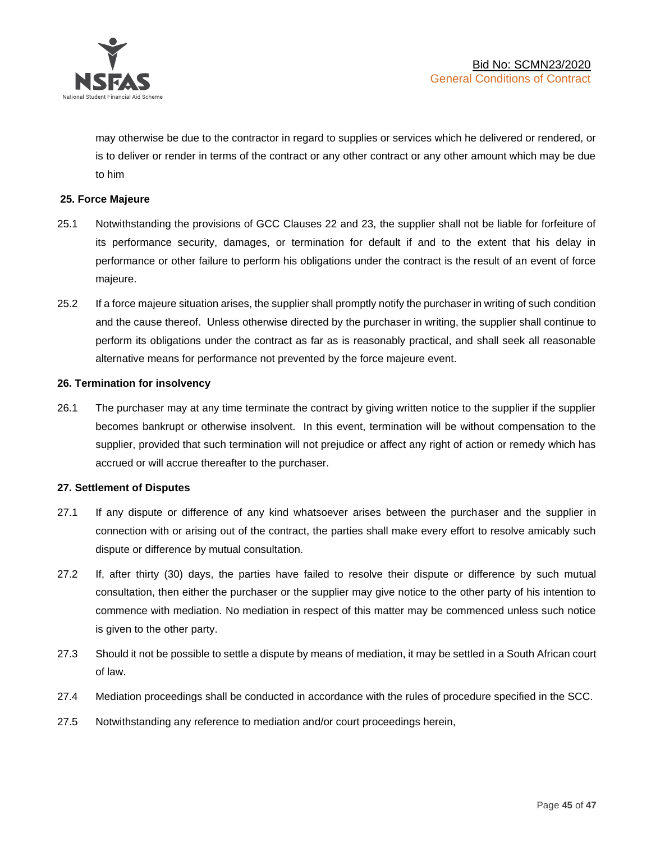

may otherwise be due to the contractor in regard to supplies or services which he delivered or rendered, or is to deliver or render in terms of the contract or any other contract or any other amount which may be due to him

# **25. Force Majeure**

- 25.1 Notwithstanding the provisions of GCC Clauses 22 and 23, the supplier shall not be liable for forfeiture of its performance security, damages, or termination for default if and to the extent that his delay in performance or other failure to perform his obligations under the contract is the result of an event of force majeure.
- 25.2 If a force majeure situation arises, the supplier shall promptly notify the purchaser in writing of such condition and the cause thereof. Unless otherwise directed by the purchaser in writing, the supplier shall continue to perform its obligations under the contract as far as is reasonably practical, and shall seek all reasonable alternative means for performance not prevented by the force majeure event.

#### **26. Termination for insolvency**

26.1 The purchaser may at any time terminate the contract by giving written notice to the supplier if the supplier becomes bankrupt or otherwise insolvent. In this event, termination will be without compensation to the supplier, provided that such termination will not prejudice or affect any right of action or remedy which has accrued or will accrue thereafter to the purchaser.

#### **27. Settlement of Disputes**

- 27.1 If any dispute or difference of any kind whatsoever arises between the purchaser and the supplier in connection with or arising out of the contract, the parties shall make every effort to resolve amicably such dispute or difference by mutual consultation.
- 27.2 If, after thirty (30) days, the parties have failed to resolve their dispute or difference by such mutual consultation, then either the purchaser or the supplier may give notice to the other party of his intention to commence with mediation. No mediation in respect of this matter may be commenced unless such notice is given to the other party.
- 27.3 Should it not be possible to settle a dispute by means of mediation, it may be settled in a South African court of law.
- 27.4 Mediation proceedings shall be conducted in accordance with the rules of procedure specified in the SCC.
- 27.5 Notwithstanding any reference to mediation and/or court proceedings herein,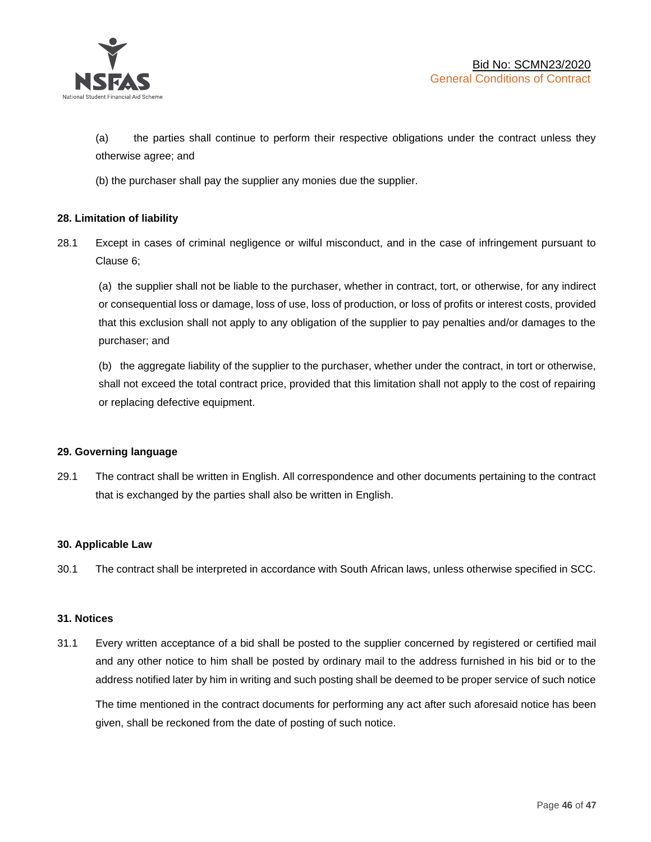

(a) the parties shall continue to perform their respective obligations under the contract unless they otherwise agree; and

(b) the purchaser shall pay the supplier any monies due the supplier.

# **28. Limitation of liability**

28.1 Except in cases of criminal negligence or wilful misconduct, and in the case of infringement pursuant to Clause 6;

(a) the supplier shall not be liable to the purchaser, whether in contract, tort, or otherwise, for any indirect or consequential loss or damage, loss of use, loss of production, or loss of profits or interest costs, provided that this exclusion shall not apply to any obligation of the supplier to pay penalties and/or damages to the purchaser; and

(b) the aggregate liability of the supplier to the purchaser, whether under the contract, in tort or otherwise, shall not exceed the total contract price, provided that this limitation shall not apply to the cost of repairing or replacing defective equipment.

#### **29. Governing language**

29.1 The contract shall be written in English. All correspondence and other documents pertaining to the contract that is exchanged by the parties shall also be written in English.

#### **30. Applicable Law**

30.1 The contract shall be interpreted in accordance with South African laws, unless otherwise specified in SCC.

#### **31. Notices**

31.1 Every written acceptance of a bid shall be posted to the supplier concerned by registered or certified mail and any other notice to him shall be posted by ordinary mail to the address furnished in his bid or to the address notified later by him in writing and such posting shall be deemed to be proper service of such notice

The time mentioned in the contract documents for performing any act after such aforesaid notice has been given, shall be reckoned from the date of posting of such notice.